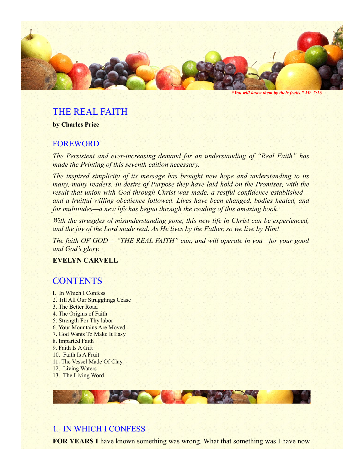

*"You will know them by their fruits." Mt. 7:16*

# THE REAL FAITH

**by Charles Price**

## FOREWORD

*The Persistent and ever-increasing demand for an understanding of "Real Faith" has made the Printing of this seventh edition necessary.*

*The inspired simplicity of its message has brought new hope and understanding to its many, many readers. In desire of Purpose they have laid hold on the Promises, with the result that union with God through Christ was made, a restful confidence established and a fruitful willing obedience followed. Lives have been changed, bodies healed, and for multitudes—a new life has begun through the reading of this amazing book.*

*With the struggles of misunderstanding gone, this new life in Christ can be experienced, and the joy of the Lord made real. As He lives by the Father, so we live by Him!*

*The faith OF GOD— "THE REAL FAITH" can, and will operate in you—for your good and God's glory.*

### **EVELYN CARVELL**

# **CONTENTS**

- I. In Which I Confess
- 2. Till All Our Strugglings Cease
- 3. The Better Road
- 4. The Origins of Faith
- 5. Strength For Thy labor
- 6. Your Mountains Are Moved
- 7**.** God Wants To Make It Easy
- 8. Imparted Faith 9. Faith Is A Gift
- 10. Faith Is A Fruit
- 11. The Vessel Made Of Clay
- 12. Living Waters
- 13. The Living Word



**FOR YEARS I** have known something was wrong. What that something was I have now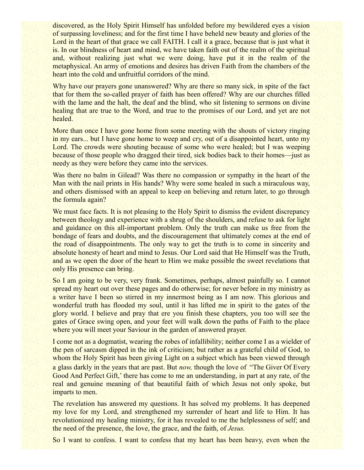discovered, as the Holy Spirit Himself has unfolded before my bewildered eyes a vision of surpassing loveliness; and for the first time I have beheld new beauty and glories of the Lord in the heart of that grace we call FAITH. I call it a grace, because that is just what it is. In our blindness of heart and mind, we have taken faith out of the realm of the spiritual and, without realizing just what we were doing, have put it in the realm of the metaphysical. An army of emotions and desires has driven Faith from the chambers of the heart into the cold and unfruitful corridors of the mind.

Why have our prayers gone unanswered? Why are there so many sick, in spite of the fact that for them the so-called prayer of faith has been offered? Why are our churches filled with the lame and the halt, the deaf and the blind, who sit listening to sermons on divine healing that are true to the Word, and true to the promises of our Lord, and yet are not healed.

More than once I have gone home from some meeting with the shouts of victory ringing in my ears... but I have gone home to weep and cry, out of a disappointed heart, unto my Lord. The crowds were shouting because of some who were healed; but I was weeping because of those people who dragged their tired, sick bodies back to their homes—just as needy as they were before they came into the services.

Was there no balm in Gilead? Was there no compassion or sympathy in the heart of the Man with the nail prints in His hands? Why were some healed in such a miraculous way, and others dismissed with an appeal to keep on believing and return later, to go through the formula again?

We must face facts. It is not pleasing to the Holy Spirit to dismiss the evident discrepancy between theology and experience with a shrug of the shoulders, and refuse to ask for light and guidance on this all-important problem. Only the truth can make us free from the bondage of fears and doubts, and the discouragement that ultimately comes at the end of the road of disappointments. The only way to get the truth is to come in sincerity and absolute honesty of heart and mind to Jesus. Our Lord said that He Himself was the Truth, and as we open the door of the heart to Him we make possible the sweet revelations that only His presence can bring.

So I am going to be very, very frank. Sometimes, perhaps, almost painfully so. I cannot spread my heart out over these pages and do otherwise; for never before in my ministry as a writer have I been so stirred in my innermost being as I am now. This glorious and wonderful truth has flooded my soul, until it has lifted me in spirit to the gates of the glory world. I believe and pray that ere you finish these chapters, you too will see the gates of Grace swing open, and your feet will walk down the paths of Faith to the place where you will meet your Saviour in the garden of answered prayer.

I come not as a dogmatist, wearing the robes of infallibility; neither come I as a wielder of the pen of sarcasm dipped in the ink of criticism; but rather as a grateful child of God, to whom the Holy Spirit has been giving Light on a subject which has been viewed through a glass darkly in the years that are past. But *now,* though the love of "The Giver Of Every Good And Perfect Gift,' there has come to me an understanding, in part at any rate, of the real and genuine meaning of that beautiful faith of which Jesus not only spoke, but imparts to men.

The revelation has answered my questions. It has solved my problems. It has deepened my love for my Lord, and strengthened my surrender of heart and life to Him. It has revolutionized my healing ministry, for it has revealed to me the helplessness of self; and the need of the presence, the love, the grace, and the faith, of *Jesus.*

So I want to confess. I want to confess that my heart has been heavy, even when the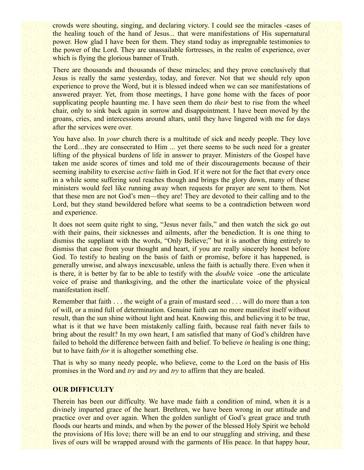crowds were shouting, singing, and declaring victory. I could see the miracles -cases of the healing touch of the hand of Jesus... that were manifestations of His supernatural power. How glad I have been for them. They stand today as impregnable testimonies to the power of the Lord. They are unassailable fortresses, in the realm of experience, over which is flying the glorious banner of Truth.

There are thousands and thousands of these miracles; and they prove conclusively that Jesus is really the same yesterday, today, and forever. Not that we should rely upon experience to prove the Word, but it is blessed indeed when we can see manifestations of answered prayer. Yet, from those meetings, I have gone home with the faces of poor supplicating people haunting me. I have seen them do *their* best to rise from the wheel chair, only to sink back again in sorrow and disappointment. I have been moved by the groans, cries, and intercessions around altars, until they have lingered with me for days after the services were over.

You have also. In *your* church there is a multitude of sick and needy people. They love the Lord…they are consecrated to Him ... yet there seems to be such need for a greater lifting of the physical burdens of life in answer to prayer. Ministers of the Gospel have taken me aside scores of times and told me of their discouragements because of their seeming inability to exercise *active* faith in God. If it were not for the fact that every once in a while some suffering soul reaches though and brings the glory down, many of these ministers would feel like running away when requests for prayer are sent to them. Not that these men are not God's men—they are! They are devoted to their calling and to the Lord, but they stand bewildered before what seems to be a contradiction between word and experience.

It does not seem quite right to sing, "Jesus never fails," and then watch the sick go out with their pains, their sicknesses and ailments, after the benediction. It is one thing to dismiss the suppliant with the words, "Only Believe;" but it is another thing entirely to dismiss that case from your thought and heart, if you are really sincerely honest before God. To testify to healing on the basis of faith or promise, before it has happened, is generally unwise, and always inexcusable, unless the faith is actually there. Even when it is there, it is better by far to be able to testify with the *double* voice -one the articulate voice of praise and thanksgiving, and the other the inarticulate voice of the physical manifestation itself.

Remember that faith . . . the weight of a grain of mustard seed . . . will do more than a ton of will, or a mind full of determination. Genuine faith can no more manifest itself without result, than the sun shine without light and heat. Knowing this, and believing it to be true, what is it that we have been mistakenly calling faith, because real faith never fails to bring about the result? In my own heart, I am satisfied that many of God's children have failed to behold the difference between faith and belief. To believe *in* healing is one thing; but to have faith *for* it is altogether something else.

That is why so many needy people, who believe, come to the Lord on the basis of His promises in the Word and *try* and *try* and *try* to affirm that they are healed.

## **OUR DIFFICULTY**

Therein has been our difficulty. We have made faith a condition of mind, when it is a divinely imparted grace of the heart. Brethren, we have been wrong in our attitude and practice over and over again. When the golden sunlight of God's great grace and truth floods our hearts and minds, and when by the power of the blessed Holy Spirit we behold the provisions of His love; there will be an end to our struggling and striving, and these lives of ours will be wrapped around with the garments of His peace. In that happy hour,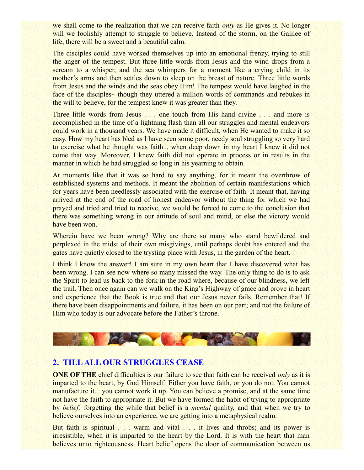we shall come to the realization that we can receive faith *only* as He gives it. No longer will we foolishly attempt to struggle to believe. Instead of the storm, on the Galilee of life, there will be a sweet and a beautiful calm.

The disciples could have worked themselves up into an emotional frenzy, trying to still the anger of the tempest. But three little words from Jesus and the wind drops from a scream to a whisper, and the sea whimpers for a moment like a crying child in its mother's arms and then settles down to sleep on the breast of nature. Three little words from Jesus and the winds and the seas obey Him! The tempest would have laughed in the face of the disciples~ though they uttered a million words of commands and rebukes in the will to believe, for the tempest knew it was greater than they.

Three little words from Jesus . . . one touch from His hand divine . . . and more is accomplished in the time of a lightning flash than all our struggles and mental endeavors could work in a thousand years. We have made it difficult, when He wanted to make it so easy. How my heart has bled as I have seen some poor, needy soul struggling so very hard to exercise what he thought was faith.., when deep down in my heart I knew it did not come that way. Moreover, I knew faith did not operate in process or in results in the manner in which he had struggled so long in his yearning to obtain.

At moments like that it was so hard to say anything, for it meant the overthrow of established systems and methods. It meant the abolition of certain manifestations which for years have been needlessly associated with the exercise of faith. It meant that, having arrived at the end of the road of honest endeavor without the thing for which we had prayed and tried and tried to receive, we would be forced to come to the conclusion that there was something wrong in our attitude of soul and mind, or else the victory would have been won.

Wherein have we been wrong? Why are there so many who stand bewildered and perplexed in the midst of their own misgivings, until perhaps doubt has entered and the gates have quietly closed to the trysting place with Jesus, in the garden of the heart.

I think I know the answer! I am sure in my own heart that I have discovered what has been wrong. I can see now where so many missed the way. The only thing to do is to ask the Spirit to lead us back to the fork in the road where, because of our blindness, we left the trail. Then once again can we walk on the King's Highway of grace and prove in heart and experience that the Book is true and that our Jesus never fails. Remember that! If there have been disappointments and failure, it has been on our part; and not the failure of Him who today is our advocate before the Father's throne.



## **2. TILL ALL OUR STRUGGLES CEASE**

**ONE OF THE** chief difficulties is our failure to see that faith can be received *only* as it is imparted to the heart, by God Himself. Either you have faith, or you do not. You cannot manufacture it... you cannot work it up. You can believe a promise, and at the same time not have the faith to appropriate it. But we have formed the habit of trying to appropriate by *belief;* forgetting the while that belief is a *mental* quality, and that when we try to believe ourselves into an experience, we are getting into a metaphysical realm.

But faith is spiritual . . . warm and vital . . . it lives and throbs; and its power is irresistible, when it is imparted to the heart by the Lord. It is with the heart that man believes unto righteousness. Heart belief opens the door of communication between us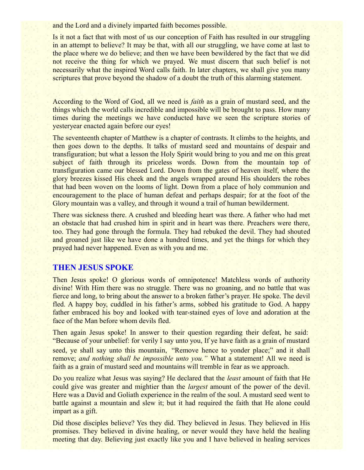and the Lord and a divinely imparted faith becomes possible.

Is it not a fact that with most of us our conception of Faith has resulted in our struggling in an attempt to believe? It may be that, with all our struggling, we have come at last to the place where we do believe; and then we have been bewildered by the fact that we did not receive the thing for which we prayed. We must discern that such belief is not necessarily what the inspired Word calls faith. In later chapters, we shall give you many scriptures that prove beyond the shadow of a doubt the truth of this alarming statement.

According to the Word of God, all we need is *faith* as a grain of mustard seed, and the things which the world calls incredible and impossible will be brought to pass. How many times during the meetings we have conducted have we seen the scripture stories of yesteryear enacted again before our eyes!

The seventeenth chapter of Matthew is a chapter of contrasts. It climbs to the heights, and then goes down to the depths. It talks of mustard seed and mountains of despair and transfiguration; but what a lesson the Holy Spirit would bring to you and me on this great subject of faith through its priceless words. Down from the mountain top of transfiguration came our blessed Lord. Down from the gates of heaven itself, where the glory breezes kissed His cheek and the angels wrapped around His shoulders the robes that had been woven on the looms of light. Down from a place of holy communion and encouragement to the place of human defeat and perhaps despair; for at the foot of the Glory mountain was a valley, and through it wound a trail of human bewilderment.

There was sickness there. A crushed and bleeding heart was there. A father who had met an obstacle that had crushed him in spirit and in heart was there. Preachers were there, too. They had gone through the formula. They had rebuked the devil. They had shouted and groaned just like we have done a hundred times, and yet the things for which they prayed had never happened. Even as with you and me.

## **THEN JESUS SPOKE**

Then Jesus spoke! O glorious words of omnipotence! Matchless words of authority divine! With Him there was no struggle. There was no groaning, and no battle that was fierce and long, to bring about the answer to a broken father's prayer. He spoke. The devil fled. A happy boy, cuddled in his father's arms, sobbed his gratitude to God. A happy father embraced his boy and looked with tear-stained eyes of love and adoration at the face of the Man before whom devils fled.

Then again Jesus spoke! In answer to their question regarding their defeat, he said: "Because of your unbelief: for verily I say unto you, If ye have faith as a grain of mustard seed, ye shall say unto this mountain, "Remove hence to yonder place;" and it shall remove; *and nothing shall be impossible unto you."* What a statement! All we need is faith as a grain of mustard seed and mountains will tremble in fear as we approach.

Do you realize what Jesus was saying? He declared that the *least* amount of faith that He could give was greater and mightier than the *largest* amount of the power of the devil. Here was a David and Goliath experience in the realm of the soul. A mustard seed went to battle against a mountain and slew it; but it had required the faith that He alone could impart as a gift.

Did those disciples believe? Yes they did. They believed in Jesus. They believed in His promises. They believed in divine healing, or never would they have held the healing meeting that day. Believing just exactly like you and I have believed in healing services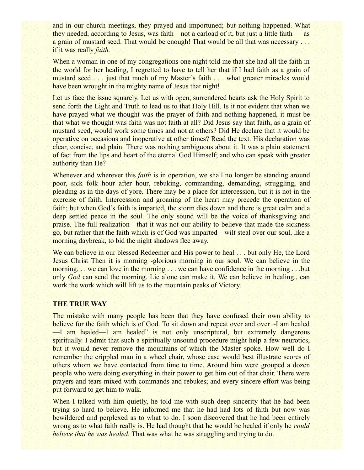and in our church meetings, they prayed and importuned; but nothing happened. What they needed, according to Jesus, was faith—not a carload of it, but just a little faith — as a grain of mustard seed. That would be enough! That would be all that was necessary . . . if it was really *faith.*

When a woman in one of my congregations one night told me that she had all the faith in the world for her healing, I regretted to have to tell her that if I had faith as a grain of mustard seed . . . just that much of my Master's faith . . . what greater miracles would have been wrought in the mighty name of Jesus that night!

Let us face the issue squarely. Let us with open, surrendered hearts ask the Holy Spirit to send forth the Light and Truth to lead us to that Holy Hill. Is it not evident that when we have prayed what we thought was the prayer of faith and nothing happened, it must be that what we thought was faith was not faith at all? Did Jesus say that faith, as a grain of mustard seed, would work some times and not at others? Did He declare that it would be operative on occasions and inoperative at other times? Read the text. His declaration was clear, concise, and plain. There was nothing ambiguous about it. It was a plain statement of fact from the lips and heart of the eternal God Himself; and who can speak with greater authority than He?

Whenever and wherever this *faith* is in operation, we shall no longer be standing around poor, sick folk hour after hour, rebuking, commanding, demanding, struggling, and pleading as in the days of yore. There may be a place for intercession, but it is not in the exercise of faith. Intercession and groaning of the heart may precede the operation of faith; but when God's faith is imparted, the storm dies down and there is great calm and a deep settled peace in the soul. The only sound will be the voice of thanksgiving and praise. The full realization—that it was not our ability to believe that made the sickness go, but rather that the faith which is of God was imparted—wilt steal over our soul, like a morning daybreak, to bid the night shadows flee away.

We can believe in our blessed Redeemer and His power to heal . . . but only He, the Lord Jesus Christ Then it is morning -glorious morning in our soul. We can believe in the morning. . . we can love in the morning . . . we can have confidence in the morning . . .but only *God* can send the morning. Lie alone can make it. We can believe in healing., can work the work which will lift us to the mountain peaks of Victory.

### **THE TRUE WAY**

The mistake with many people has been that they have confused their own ability to believe for the faith which is of God. To sit down and repeat over and over  $\sim I$  am healed —I am healed—I am healed" is not only unscriptural, but extremely dangerous spiritually. I admit that such a spiritually unsound procedure might help a few neurotics, but it would never remove the mountains of which the Master spoke. How well do I remember the crippled man in a wheel chair, whose case would best illustrate scores of others whom we have contacted from time to time. Around him were grouped a dozen people who were doing everything in their power to get him out of that chair. There were prayers and tears mixed with commands and rebukes; and every sincere effort was being put forward to get him to walk.

When I talked with him quietly, he told me with such deep sincerity that he had been trying so hard to believe. He informed me that he had had lots of faith but now was bewildered and perplexed as to what to do. I soon discovered that he had been entirely wrong as to what faith really is. He had thought that he would be healed if only he *could believe that he was healed.* That was what he was struggling and trying to do.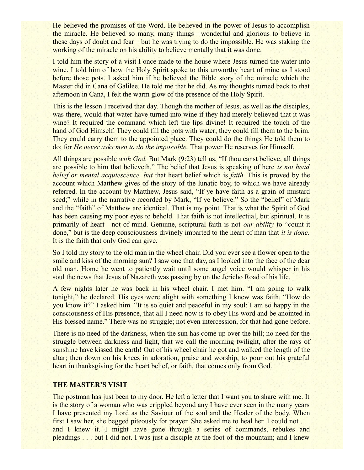He believed the promises of the Word. He believed in the power of Jesus to accomplish the miracle. He believed so many, many things—wonderful and glorious to believe in these days of doubt and fear—but he was trying to do the impossible. He was staking the working of the miracle on his ability to believe mentally that it was done.

I told him the story of a visit I once made to the house where Jesus turned the water into wine. I told him of how the Holy Spirit spoke to this unworthy heart of mine as I stood before those pots. I asked him if he believed the Bible story of the miracle which the Master did in Cana of Galilee. He told me that he did. As my thoughts turned back to that afternoon in Cana, I felt the warm glow of the presence of the Holy Spirit.

This is the lesson I received that day. Though the mother of Jesus, as well as the disciples, was there, would that water have turned into wine if they had merely believed that it was wine? It required the command which left the lips divine! It required the touch of the hand of God Himself. They could fill the pots with water; they could fill them to the brim. They could carry them to the appointed place. They could do the things He told them to do; for *He never asks men to do the impossible.* That power He reserves for Himself.

All things are possible *with God*. But Mark (9:23) tell us, "If thou canst believe, all things are possible to him that believeth." The belief that Jesus is speaking of here *is not head belief or mental acquiescence, but* that heart belief which is *faith.* This is proved by the account which Matthew gives of the story of the lunatic boy, to which we have already referred. In the account by Matthew, Jesus said, "If ye have faith as a grain of mustard seed;" while in the narrative recorded by Mark, "If ye believe." So the "belief" of Mark and the "faith" of Matthew are identical. That is my point. That is what the Spirit of God has been causing my poor eyes to behold. That faith is not intellectual, but spiritual. It is primarily of heart—not of mind. Genuine, scriptural faith is not *our ability* to "count it done," but is the deep consciousness divinely imparted to the heart of man that *it is done.* It is the faith that only God can give.

So I told my story to the old man in the wheel chair. Did you ever see a flower open to the smile and kiss of the morning sun? I saw one that day, as I looked into the face of the dear old man. Home he went to patiently wait until some angel voice would whisper in his soul the news that Jesus of Nazareth was passing by on the Jericho Road of his life.

A few nights later he was back in his wheel chair. I met him. "I am going to walk tonight," he declared. His eyes were alight with something I knew was faith. "How do you know it?" I asked him. "It is so quiet and peaceful in my soul; I am so happy in the consciousness of His presence, that all I need now is to obey His word and be anointed in His blessed name." There was no struggle; not even intercession, for that had gone before.

There is no need of the darkness, when the sun has come up over the hill; no need for the struggle between darkness and light, that we call the morning twilight, after the rays of sunshine have kissed the earth! Out of his wheel chair he got and walked the length of the altar; then down on his knees in adoration, praise and worship, to pour out his grateful heart in thanksgiving for the heart belief, or faith, that comes only from God.

## **THE MASTER'S VISIT**

The postman has just been to my door. He left a letter that I want you to share with me. It is the story of a woman who was crippled beyond any I have ever seen in the many years I have presented my Lord as the Saviour of the soul and the Healer of the body. When first I saw her, she begged piteously for prayer. She asked me to heal her. I could not . . . and I knew it. I might have gone through a series of commands, rebukes and pleadings . . . but I did not. I was just a disciple at the foot of the mountain; and I knew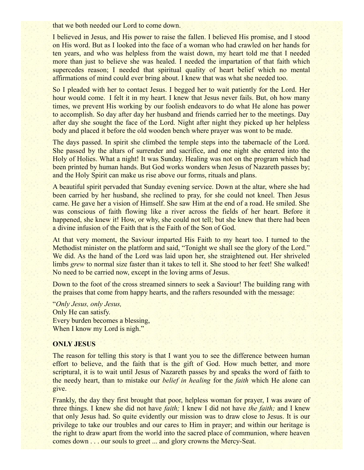that we both needed our Lord to come down.

I believed in Jesus, and His power to raise the fallen. I believed His promise, and I stood on His word. But as I looked into the face of a woman who had crawled on her hands for ten years, and who was helpless from the waist down, my heart told me that I needed more than just to believe she was healed. I needed the impartation of that faith which supercedes reason; I needed that spiritual quality of heart belief which no mental affirmations of mind could ever bring about. I knew that was what she needed too.

So I pleaded with her to contact Jesus. I begged her to wait patiently for the Lord. Her hour would come. I felt it in my heart. I knew that Jesus never fails. But, oh how many times, we prevent His working by our foolish endeavors to do what He alone has power to accomplish. So day after day her husband and friends carried her to the meetings. Day after day she sought the face of the Lord. Night after night they picked up her helpless body and placed it before the old wooden bench where prayer was wont to be made.

The days passed. In spirit she climbed the temple steps into the tabernacle of the Lord. She passed by the altars of surrender and sacrifice, and one night she entered into the Holy of Holies. What a night! It was Sunday. Healing was not on the program which had been printed by human hands. But God works wonders when Jesus of Nazareth passes by; and the Holy Spirit can make us rise above our forms, rituals and plans.

A beautiful spirit pervaded that Sunday evening service. Down at the altar, where she had been carried by her husband, she reclined to pray, for she could not kneel. Then Jesus came. He gave her a vision of Himself. She saw Him at the end of a road. He smiled. She was conscious of faith flowing like a river across the fields of her heart. Before it happened, she knew it! How, or why, she could not tell; but she knew that there had been a divine infusion of the Faith that is the Faith of the Son of God.

At that very moment, the Saviour imparted His Faith to my heart too. I turned to the Methodist minister on the platform and said, "Tonight we shall see the glory of the Lord." We did. As the hand of the Lord was laid upon her, she straightened out. Her shriveled limbs *grew* to normal size faster than it takes to tell it. She stood to her feet! She walked! No need to be carried now, except in the loving arms of Jesus.

Down to the foot of the cross streamed sinners to seek a Saviour! The building rang with the praises that come from happy hearts, and the rafters resounded with the message:

"*Only Jesus, only Jesus,* Only He can satisfy. Every burden becomes a blessing, When I know my Lord is nigh."

### **ONLY JESUS**

The reason for telling this story is that I want you to see the difference between human effort to believe, and the faith that is the gift of God. How much better, and more scriptural, it is to wait until Jesus of Nazareth passes by and speaks the word of faith to the needy heart, than to mistake our *belief in healing* for the *faith* which He alone can give.

Frankly, the day they first brought that poor, helpless woman for prayer, I was aware of three things. I knew she did not have *faith;* I knew I did not have *the faith;* and I knew that only Jesus had. So quite evidently our mission was to draw close to Jesus. It is our privilege to take our troubles and our cares to Him in prayer; and within our heritage is the right to draw apart from the world into the sacred place of communion, where heaven comes down . . . our souls to greet ... and glory crowns the Mercy-Seat.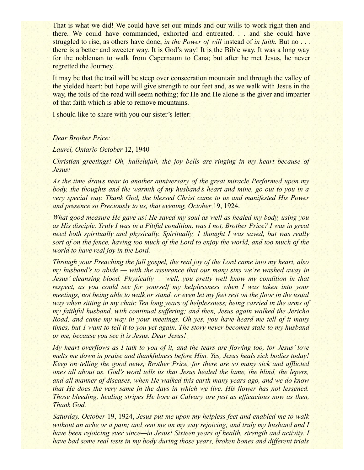That is what we did! We could have set our minds and our wills to work right then and there. We could have commanded, exhorted and entreated. . . and she could have struggled to rise, as others have done, *in the Power of will* instead of *in faith.* But no . . . there is a better and sweeter way. It is God's way! It is the Bible way. It was a long way for the nobleman to walk from Capernaum to Cana; but after he met Jesus, he never regretted the Journey.

It may be that the trail will be steep over consecration mountain and through the valley of the yielded heart; but hope will give strength to our feet and, as we walk with Jesus in the way, the toils of the road will seem nothing; for He and He alone is the giver and imparter of that faith which is able to remove mountains.

I should like to share with you our sister's letter:

#### *Dear Brother Price:*

#### *Laurel, Ontario October* 12, 1940

*Christian greetings! Oh, hallelujah, the joy bells are ringing in my heart because of Jesus!*

*As the time draws near to another anniversary of the great miracle Performed upon my body, the thoughts and the warmth of my husband's heart and mine, go out to you in a very special way. Thank God, the blessed Christ came to us and manifested His Power and presence so Preciously to us, that evening, October* 19, 1924.

*What good measure He gave us! He saved my soul as well as healed my body, using you as His disciple. Truly I was in a Pitiful condition, was I not, Brother Price? I was in great need both spiritually and physically. Spiritually, 1 thought I was saved, but was really sort of on the fence, having too much of the Lord to enjoy the world, and too much of the world to have real joy in the Lord.*

*Through your Preaching the full gospel, the real joy of the Lord came into my heart, also my husband's to abide — with the assurance that our many sins we're washed away in Jesus' cleansing blood. Physically — well, you pretty well know my condition in that respect, as you could see for yourself my helplessness when I was taken into your meetings, not being able to walk or stand, or even let my feet rest on the floor in the usual way when sitting in my chair. Ten long years of helplessness, being carried in the arms of my faithful husband, with continual suffering; and then, Jesus again walked the Jericho Road, and came my way in your meetings. Oh yes, you have heard me tell of it many times, but 1 want to tell it to you yet again. The story never becomes stale to my husband or me, because you see it is Jesus. Dear Jesus!*

*My heart overflows as I talk to you of it, and the tears are flowing too, for Jesus' love melts me down in praise and thankfulness before Him. Yes, Jesus heals sick bodies today! Keep on telling the good news, Brother Price, for there are so many sick and afflicted ones all about us. God's word tells us that Jesus healed the lame, the blind, the lepers, and all manner of diseases, when He walked this earth many years ago, and we do know that He does the very same in the days in which we live. His flower has not lessened. Those bleeding, healing stripes He bore at Calvary are just as efficacious now as then, Thank God.*

*Saturday, October* 19, 1924, *Jesus put me upon my helpless feet and enabled me to walk without an ache or a pain; and sent me on my way rejoicing, and truly my husband and I have been rejoicing ever since—in Jesus! Sixteen years of health, strength and activity. I have bad some real tests in my body during those years, broken bones and different trials*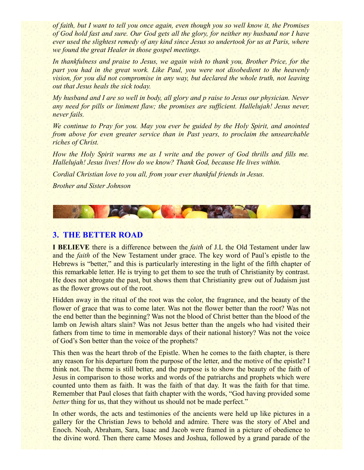*of faith, but I want to tell you once again, even though you so well know it, the Promises of God hold fast and sure. Our God gets all the glory, for neither my husband nor I have ever used the slightest remedy of any kind since Jesus so undertook for us at Paris, where we found the great Healer in those gospel meetings.*

*In thankfulness and praise to Jesus, we again wish to thank you, Brother Price, for the part you had in the great work. Like Paul, you were not disobedient to the heavenly vision, for you did not compromise in any way, but declared the whole truth, not leaving out that Jesus heals the sick today.*

*My husband and I are so well in body, all glory and p raise to Jesus our physician. Never any need for pills or liniment flaw; the promises are sufficient. Hallelujah! Jesus never, never fails.*

*We continue to Pray for you. May you ever be guided by the Holy Spirit, and anointed from above for even greater service than in Past years, to proclaim the unsearchable riches of Christ.*

*How the Holy Spirit warms me as I write and the power of God thrills and fills me. Hallelujah! Jesus lives! How do we know? Thank God, because He lives within.*

*Cordial Christian love to you all, from your ever thankful friends in Jesus.*

**DEALER LES** 

*Brother and Sister Johnson*

## **3. THE BETTER ROAD**

**I BELIEVE** there is a difference between the *faith* of J.L the Old Testament under law and the *faith* of the New Testament under grace. The key word of Paul's epistle to the Hebrews is "better," and this is particularly interesting in the light of the fifth chapter of this remarkable letter. He is trying to get them to see the truth of Christianity by contrast. He does not abrogate the past, but shows them that Christianity grew out of Judaism just as the flower grows out of the root.

Hidden away in the ritual of the root was the color, the fragrance, and the beauty of the flower of grace that was to come later. Was not the flower better than the root? Was not the end better than the beginning? Was not the blood of Christ better than the blood of the lamb on Jewish altars slain? Was not Jesus better than the angels who had visited their fathers from time to time in memorable days of their national history? Was not the voice of God's Son better than the voice of the prophets?

This then was the heart throb of the Epistle. When he comes to the faith chapter, is there any reason for his departure from the purpose of the letter, and the motive of the epistle? I think not. The theme is still better, and the purpose is to show the beauty of the faith of Jesus in comparison to those works and words of the patriarchs and prophets which were counted unto them as faith. It was the faith of that day. It was the faith for that time. Remember that Paul closes that faith chapter with the words, "God having provided some *better* thing for us, that they without us should not be made perfect."

In other words, the acts and testimonies of the ancients were held up like pictures in a gallery for the Christian Jews to behold and admire. There was the story of Abel and Enoch. Noah, Abraham, Sara, Isaac and Jacob were framed in a picture of obedience to the divine word. Then there came Moses and Joshua, followed by a grand parade of the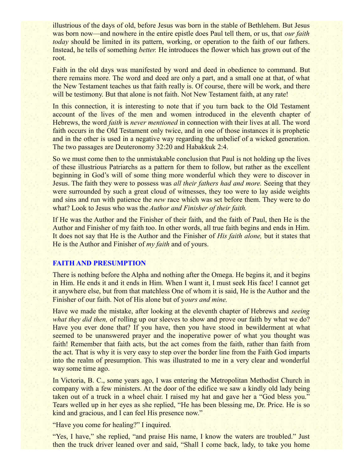illustrious of the days of old, before Jesus was born in the stable of Bethlehem. But Jesus was born now—and nowhere in the entire epistle does Paul tell them, or us, that *our faith today* should be limited in its pattern, working, or operation to the faith of our fathers. Instead, he tells of something *better.* He introduces the flower which has grown out of the root.

Faith in the old days was manifested by word and deed in obedience to command. But there remains more. The word and deed are only a part, and a small one at that, of what the New Testament teaches us that faith really is. Of course, there will be work, and there will be testimony. But that alone is not faith. Not New Testament faith, at any rate!

In this connection, it is interesting to note that if you turn back to the Old Testament account of the lives of the men and women introduced in the eleventh chapter of Hebrews, the word *faith* is *never mentioned* in connection with their lives at all. The word faith occurs in the Old Testament only twice, and in one of those instances it is prophetic and in the other is used in a negative way regarding the unbelief of a wicked generation. The two passages are Deuteronomy 32:20 and Habakkuk 2:4.

So we must come then to the unmistakable conclusion that Paul is not holding up the lives of these illustrious Patriarchs as a pattern for them to follow, but rather as the excellent beginning in God's will of some thing more wonderful which they were to discover in Jesus. The faith they were to possess was *all their fathers had and more.* Seeing that they were surrounded by such a great cloud of witnesses, they too were to lay aside weights and sins and run with patience the *new* race which was set before them. They were to do what? Look to Jesus who was the *Author and Finisher of their faith.*

If He was the Author and the Finisher of their faith, and the faith of Paul, then He is the Author and Finisher of my faith too. In other words, all true faith begins and ends in Him. It does not say that He is the Author and the Finisher of *His faith alone,* but it states that He is the Author and Finisher of *my faith* and of yours.

### **FAITH AND PRESUMPTION**

There is nothing before the Alpha and nothing after the Omega. He begins it, and it begins in Him. He ends it and it ends in Him. When I want it, I must seek His face! I cannot get it anywhere else, but from that matchless One of whom it is said, He is the Author and the Finisher of our faith. Not of His alone but of y*ours and mine.*

Have we made the mistake, after looking at the eleventh chapter of Hebrews and *seeing what they did then,* of rolling up our sleeves to show and prove our faith by what we do? Have you ever done that? If you have, then you have stood in bewilderment at what seemed to be unanswered prayer and the inoperative power of what you thought was faith! Remember that faith acts, but the act comes from the faith, rather than faith from the act. That is why it is very easy to step over the border line from the Faith God imparts into the realm of presumption. This was illustrated to me in a very clear and wonderful way some time ago.

In Victoria, B. C., some years ago, I was entering the Metropolitan Methodist Church in company with a few ministers. At the door of the edifice we saw a kindly old lady being taken out of a truck in a wheel chair. I raised my hat and gave her a "God bless you." Tears welled up in her eyes as she replied, "He has been blessing me, Dr. Price. He is so kind and gracious, and I can feel His presence now."

"Have you come for healing?" I inquired.

"Yes, I have," she replied, "and praise His name, I know the waters are troubled." Just then the truck driver leaned over and said, "Shall I come back, lady, to take you home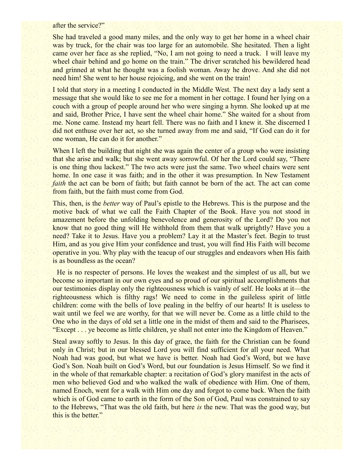after the service?"

She had traveled a good many miles, and the only way to get her home in a wheel chair was by truck, for the chair was too large for an automobile. She hesitated. Then a light came over her face as she replied, "No, I am not going to need a truck. I will leave my wheel chair behind and go home on the train." The driver scratched his bewildered head and grinned at what he thought was a foolish woman. Away he drove. And she did not need him! She went to her house rejoicing, and she went on the train!

I told that story in a meeting I conducted in the Middle West. The next day a lady sent a message that she would like to see me for a moment in her cottage. I found her lying on a couch with a group of people around her who were singing a hymn. She looked up at me and said, Brother Price, I have sent the wheel chair home." She waited for a shout from me. None came. Instead my heart fell. There was no faith and I knew it. She discerned I did not enthuse over her act, so she turned away from me and said, "If God can do it for one woman, He can do it for another."

When I left the building that night she was again the center of a group who were insisting that she arise and walk; but she went away sorrowful. Of her the Lord could say, "There is one thing thou lackest." The two acts were just the same. Two wheel chairs were sent home. In one case it was faith; and in the other it was presumption. In New Testament *faith* the act can be born of faith; but faith cannot be born of the act. The act can come from faith, but the faith must come from God.

This, then, is the *better* way of Paul's epistle to the Hebrews. This is the purpose and the motive back of what we call the Faith Chapter of the Book. Have you not stood in amazement before the unfolding benevolence and generosity of the Lord? Do you not know that no good thing will He withhold from them that walk uprightly? Have you a need? Take it to Jesus. Have you a problem? Lay it at the Master's feet. Begin to trust Him, and as you give Him your confidence and trust, you will find His Faith will become operative in you. Why play with the teacup of our struggles and endeavors when His faith is as boundless as the ocean?

 He is no respecter of persons. He loves the weakest and the simplest of us all, but we become so important in our own eyes and so proud of our spiritual accomplishments that our testimonies display only the righteousness which is vainly of self. He looks at it—the righteousness which is filthy rags! We need to come in the guileless spirit of little children: come with the bells of love pealing in the belfry of our hearts! It is useless to wait until we feel we are worthy, for that we will never be. Come as a little child to the One who in the days of old set a little one in the midst of them and said to the Pharisees, "Except . . . ye become as little children, ye shall not enter into the Kingdom of Heaven."

Steal away softly to Jesus. In this day of grace, the faith for the Christian can be found only in Christ; but in our blessed Lord you will find sufficient for all your need. What Noah had was good, but what we have is better. Noah had God's Word, but we have God's Son. Noah built on God's Word, but our foundation is Jesus Himself. So we find it in the whole of that remarkable chapter: a recitation of God's glory manifest in the acts of men who believed God and who walked the walk of obedience with Him. One of them, named Enoch, went for a walk with Him one day and forgot to come back. When the faith which is of God came to earth in the form of the Son of God, Paul was constrained to say to the Hebrews, "That was the old faith, but here *is* the new. That was the good way, but this is the better."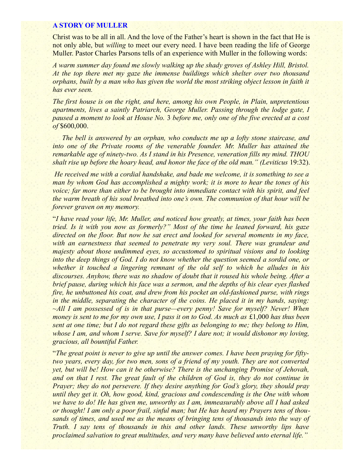#### **A STORY OF MULLER**

Christ was to be all in all. And the love of the Father's heart is shown in the fact that He is not only able, but *willing* to meet our every need. I have been reading the life of George Muller. Pastor Charles Parsons tells of an experience with Muller in the following words:

*A warm summer day found me slowly walking up the shady groves of Ashley Hill, Bristol. At the top there met my gaze the immense buildings which shelter over two thousand orphans, built by a man who has given the world the most striking object lesson in faith it has ever seen.*

*The first house is on the right, and here, among his own People, in Plain, unpretentious apartments, lives a saintly Patriarch, George Muller. Passing through the lodge gate, I paused a moment to look at House No.* 3 *before me, only one of the five erected at a cost of* \$600,000.

*The bell is answered by an orphan, who conducts me up a lofty stone staircase, and into one of the Private rooms of the venerable founder. Mr. Muller has attained the remarkable age of ninety-two. As I stand in his Presence, veneration fills my mind. THOU shalt rise up before the hoary head, and honor the face of the old man." (Leviticus 19:32).* 

*He received me with a cordial handshake, and bade me welcome, it is something to see a man by whom God has accomplished a mighty work; it is more to hear the tones of his voice; far more than either to be brought into immediate contact with his spirit, and feel the warm breath of his soul breathed into one's own. The communion of that hour will be forever graven on my memory.*

"*I have read your life, Mr. Muller, and noticed how greatly, at times, your faith has been tried. Is it with you now as formerly?" Most of the time he leaned forward, his gaze directed on the floor. But now he sat erect and looked for several moments in my face, with an earnestness that seemed to penetrate my very soul. There was grandeur and majesty about those undimmed eyes, so accustomed to spiritual visions and to looking into the deep things of God. I do not know whether the question seemed a sordid one, or whether it touched a lingering remnant of the old self to which he alludes in his discourses. Anyhow, there was no shadow of doubt that it roused his whole being. After a brief pause, during which his face was a sermon, and the depths of his clear eyes flashed fire, he unbuttoned his coat, and drew from his pocket an old-fashioned purse, with rings in the middle, separating the character of the coins. He placed it in my hands, saying: ~All I am possessed of is in that purse—every penny! Save for myself? Never! When money is sent to me for my own use, I pass it on to God. As much as* £1,000 *has thus been sent at one time; but I do not regard these gifts as belonging to me; they belong to Him, whose I am, and whom I serve. Save for myself? I dare not; it would dishonor my loving, gracious, all bountiful Father.*

"*The great point is never to give up until the answer comes. I have been praying for fiftytwo years, every day, for two men, sons of a friend of my youth. They are not converted yet, but will be! How can it be otherwise? There is the unchanging Promise of Jehovah, and on that I rest. The great fault of the children of God is, they do not continue in Prayer; they do not persevere. If they desire anything for God's glory, they should pray until they get it. Oh, how good, kind, gracious and condescending is the One with whom we have to do! He has given me, unworthy as I am, immeasurably above all I had asked or thought! I am only a poor frail, sinful man; but He has heard my Prayers tens of thousands of times, and used me as the means of bringing tens of thousands into the way of Truth. I say tens of thousands in this and other lands. These unworthy lips have proclaimed salvation to great multitudes, and very many have believed unto eternal life."*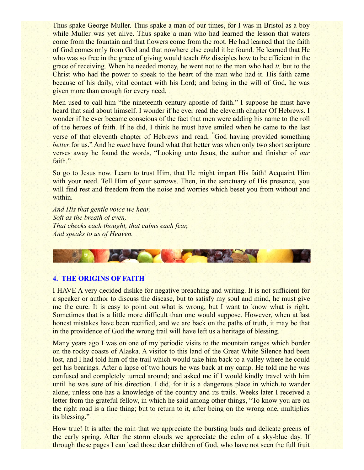Thus spake George Muller. Thus spake a man of our times, for I was in Bristol as a boy while Muller was yet alive. Thus spake a man who had learned the lesson that waters come from the fountain and that flowers come from the root. He had learned that the faith of God comes only from God and that nowhere else could it be found. He learned that He who was so free in the grace of giving would teach *His* disciples how to be efficient in the grace of receiving. When he needed money, he went not to the man who had *it,* but to the Christ who had the power to speak to the heart of the man who had it. His faith came because of his daily, vital contact with his Lord; and being in the will of God, he was given more than enough for every need.

Men used to call him "the nineteenth century apostle of faith." I suppose he must have heard that said about himself. I wonder if he ever read the eleventh chapter Of Hebrews. I wonder if he ever became conscious of the fact that men were adding his name to the roll of the heroes of faith. If he did, I think he must have smiled when he came to the last verse of that eleventh chapter of Hebrews and read, "God having provided something *better* for us." And he *must* have found what that better was when only two short scripture verses away he found the words, "Looking unto Jesus, the author and finisher of *our* faith."

So go to Jesus now. Learn to trust Him, that He might impart His faith! Acquaint Him with your need. Tell Him of your sorrows. Then, in the sanctuary of His presence, you will find rest and freedom from the noise and worries which beset you from without and within.

*And His that gentle voice we hear, Soft as the breath of even, That checks each thought, that calms each fear, And speaks to us of Heaven.*



## **4. THE ORIGINS OF FAITH**

I HAVE A very decided dislike for negative preaching and writing. It is not sufficient for a speaker or author to discuss the disease, but to satisfy my soul and mind, he must give me the cure. It is easy to point out what is wrong, but I want to know what is right. Sometimes that is a little more difficult than one would suppose. However, when at last honest mistakes have been rectified, and we are back on the paths of truth, it may be that in the providence of God the wrong trail will have left us a heritage of blessing.

Many years ago I was on one of my periodic visits to the mountain ranges which border on the rocky coasts of Alaska. A visitor to this land of the Great White Silence had been lost, and I had told him of the trail which would take him back to a valley where he could get his bearings. After a lapse of two hours he was back at my camp. He told me he was confused and completely turned around; and asked me if I would kindly travel with him until he was sure of his direction. I did, for it is a dangerous place in which to wander alone, unless one has a knowledge of the country and its trails. Weeks later I received a letter from the grateful fellow, in which he said among other things, "To know you are on the right road is a fine thing; but to return to it, after being on the wrong one, multiplies its blessing."

How true! It is after the rain that we appreciate the bursting buds and delicate greens of the early spring. After the storm clouds we appreciate the calm of a sky-blue day. If through these pages I can lead those dear children of God, who have not seen the full fruit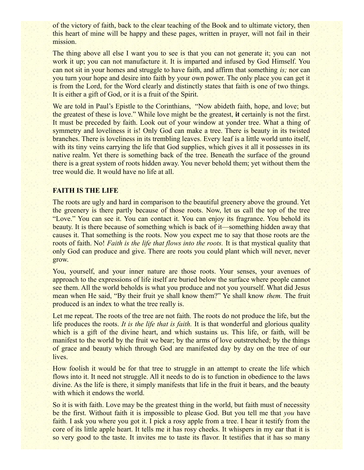of the victory of faith, back to the clear teaching of the Book and to ultimate victory, then this heart of mine will be happy and these pages, written in prayer, will not fail in their mission.

The thing above all else I want you to see is that you can not generate it; you can not work it up; you can not manufacture it. It is imparted and infused by God Himself. You can not sit in your homes and struggle to have faith, and affirm that something *is;* nor can you turn your hope and desire into faith by your own power. The only place you can get it is from the Lord, for the Word clearly and distinctly states that faith is one of two things. It is either a gift of God, or it is a fruit of the Spirit.

We are told in Paul's Epistle to the Corinthians, "Now abideth faith, hope, and love; but the greatest of these is love." While love might be the greatest, **it** certainly is not the first. It must be preceded by faith. Look out of your window at yonder tree. What a thing of symmetry and loveliness it is! Only God can make a tree. There is beauty in its twisted branches. There is loveliness in its trembling leaves. Every leaf is a little world unto itself, with its tiny veins carrying the life that God supplies, which gives it all it possesses in its native realm. Yet there is something back of the tree. Beneath the surface of the ground there is a great system of roots hidden away. You never behold them; yet without them the tree would die. It would have no life at all.

## **FAITH IS THE LIFE**

The roots are ugly and hard in comparison to the beautiful greenery above the ground. Yet the greenery is there partly because of those roots. Now, let us call the top of the tree "Love." You can see it. You can contact it. You can enjoy its fragrance. You behold its beauty. It is there because of something which is back of it—something hidden away that causes it. That something is the roots. Now you expect me to say that those roots are the roots of faith. No! *Faith is the life that flows into the roots.* It is that mystical quality that only God can produce and give. There are roots you could plant which will never, never grow.

You, yourself, and your inner nature are those roots. Your senses, your avenues of approach to the expressions of life itself are buried below the surface where people cannot see them. All the world beholds is what you produce and not you yourself. What did Jesus mean when He said, "By their fruit ye shall know them?" Ye shall know *them.* The fruit produced is an index to what the tree really is.

Let me repeat. The roots of the tree are not faith. The roots do not produce the life, but the life produces the roots. *It is the life that is faith.* It is that wonderful and glorious quality which is a gift of the divine heart, and which sustains us. This life, or faith, will be manifest to the world by the fruit we bear; by the arms of love outstretched; by the things of grace and beauty which through God are manifested day by day on the tree of our lives.

How foolish it would be for that tree to struggle in an attempt to create the life which flows into it. It need not struggle. All it needs to do is to function in obedience to the laws divine. As the life is there, it simply manifests that life in the fruit it bears, and the beauty with which it endows the world.

So it is with faith. Love may be the greatest thing in the world, but faith must of necessity be the first. Without faith it is impossible to please God. But you tell me that *you* have faith. I ask you where you got it. I pick a rosy apple from a tree. I hear it testify from the core of its little apple heart. It tells me it has rosy cheeks. It whispers in my ear that it is so very good to the taste. It invites me to taste its flavor. It testifies that it has so many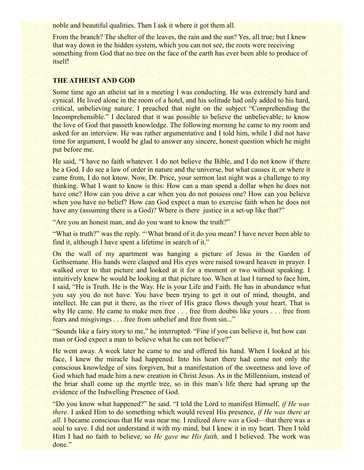noble and beautiful qualities. Then I ask it where it got them all.

From the branch? The shelter of the leaves, the rain and the sun? Yes, all true; but I knew that way down in the hidden system, which you can not see, the roots were receiving something from God that no tree on the face of the earth has ever been able to produce of itself!

### **THE ATHEIST AND GOD**

Some time ago an atheist sat in a meeting I was conducting. He was extremely hard and cynical. He lived alone in the room of a hotel, and his solitude had only added to his hard, critical, unbelieving nature. I preached that night on the subject "Comprehending the Incomprehensible." I declared that it was possible to believe the unbelievable; to know the love of God that passeth knowledge. The following morning he came to my room and asked for an interview. He was rather argumentative and I told him, while I did not have time for argument, I would be glad to answer any sincere, honest question which he might put before me.

He said, "I have no faith whatever. I do not believe the Bible, and I do not know if there be a God. I do see a law of order in nature and the universe, but what causes it, or where it came from, I do not know. Now, Dr. Price, your sermon last night was a challenge to my thinking. What I want to know is this: How can a man spend a dollar when he does not have one? How can you drive a car when you do not possess one? How can you believe when you have no belief? How can God expect a man to exercise faith when he does not have any (assuming there is a God)? Where is there justice in a set-up like that?"

"Are you an honest man, and do you want to know the truth?"

"What is truth?" was the reply. ""What brand of it do you mean? I have never been able to find it, although I have spent a lifetime in search of it."

On the wall of my apartment was hanging a picture of Jesus in the Garden of Gethsemane. His hands were clasped and His eyes were raised toward heaven in prayer. I walked over to that picture and looked at it for a moment or two without speaking. I intuitively knew he would be looking at that picture too. When at last I turned to face him, I said, "He is Truth. He is the Way. He is your Life and Faith. He has in abundance what you say you do not have. You have been trying to get it out of mind, thought, and intellect. He can put it there, as the river of His grace flows though your heart. That is why He came. He came to make men free . . . free from doubts like yours . . . free from fears and misgivings . . . free from unbelief and free from sin..."

"Sounds like a fairy story to me," he interrupted. "Fine if you can believe it, but how can man or God expect a man to believe what he can not believe?"

He went away. A week later he came to me and offered his hand. When I looked at his face, I knew the miracle had happened. Into his heart there had come not only the conscious knowledge of sins forgiven, but a manifestation of the sweetness and love of God which had made him a new creation in Christ Jesus. As in the Millennium, instead of the briar shall come up the myrtle tree, so in this man's life there had sprung up the evidence of the Indwelling Presence of God.

"Do you know what happened?" he said. "I told the Lord to manifest Himself, *if He was there.* I asked Him to do something which would reveal His presence, *if He was there at all.* I became conscious that He was near me. I realized *there was* a God—that there was a soul to save. I did not understand it with my mind, but I knew it in my heart. Then I told Him I had no faith to believe, so *He gave me His faith,* and I believed. The work was done."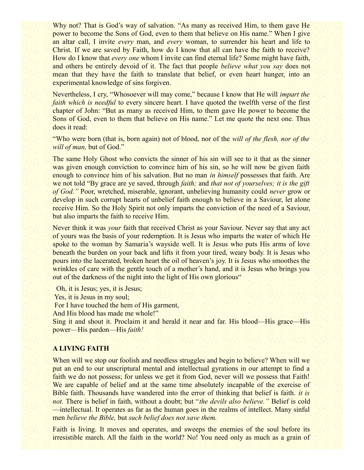Why not? That is God's way of salvation. "As many as received Him, to them gave He power to become the Sons of God, even to them that believe on His name." When I give an altar call, I invite *every* man, and *every* woman, to surrender his heart and life to Christ. If we are saved by Faith, how do I know that all can have the faith to receive? How do I know that *every one* whom I invite can find eternal life? Some might have faith, and others be entirely devoid of it. The fact that people *believe what you say* does not mean that they have the faith to translate that belief, or even heart hunger, into an experimental knowledge of sins forgiven.

Nevertheless, I cry, "Whosoever will may come," because I know that He will *impart the faith which is needful* to every sincere heart. I have quoted the twelfth verse of the first chapter of John: "But as many as received Him, to them gave He power to become the Sons of God, even to them that believe on His name." Let me quote the next one. Thus does it read:

"Who were born (that is, born again) not of blood, nor of the *will of the flesh, nor of the will of man,* but of God."

The same Holy Ghost who convicts the sinner of his sin will see to it that as the sinner was given enough conviction to convince him of his sin, so he will now be given faith enough to convince him of his salvation. But no man *in himself* possesses that faith. Are we not told "By grace are ye saved, through *faith;* and *that not of yourselves; it is the gift of God."* Poor, wretched, miserable, ignorant, unbelieving humanity could *never* grow or develop in such corrupt hearts of unbelief faith enough to believe in a Saviour, let alone receive Him. So the Holy Spirit not only imparts the conviction of the need of a Saviour, but also imparts the faith to receive Him.

Never think it was *your* faith that received Christ as your Saviour. Never say that any act of yours was the basis of your redemption. It is Jesus who imparts the water of which He spoke to the woman by Samaria's wayside well. It is Jesus who puts His arms of love beneath the burden on your back and lifts it from your tired, weary body. It is Jesus who pours into the lacerated, broken heart the oil of heaven's joy. It is Jesus who smoothes the wrinkles of care with the gentle touch of a mother's hand, and it is Jesus who brings you out of the darkness of the night into the light of His own glorious"

 Oh, it is Jesus; yes, it is Jesus; Yes, it is Jesus in my soul; For I have touched the hem of His garment, And His blood has made me whole!"

Sing it and shout it. Proclaim it and herald it near and far. His blood—His grace—His power—His pardon—His *faith!*

### **A LIVING FAITH**

When will we stop our foolish and needless struggles and begin to believe? When will we put an end to our unscriptural mental and intellectual gyrations in our attempt to find a faith we do not possess; for unless we get it from God, never will we possess that Faith! We are capable of belief and at the same time absolutely incapable of the exercise of Bible faith. Thousands have wandered into the error of thinking that belief is faith. *it is not.* There is belief in faith, without a doubt; but "*the devils also believe."* Belief is cold —intellectual. It operates as far as the human goes in the realms of intellect. Many sinful men *believe the Bible,* but *such belief does not save them.*

Faith is living. It moves and operates, and sweeps the enemies of the soul before its irresistible march. All the faith in the world? No! You need only as much as a grain of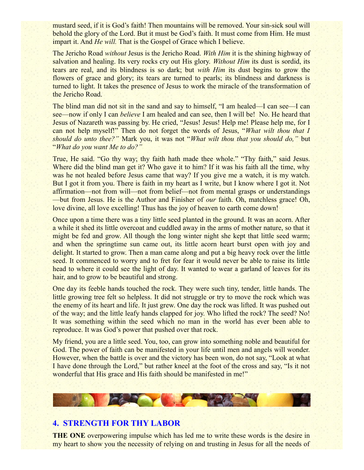mustard seed, if it is God's faith! Then mountains will be removed. Your sin-sick soul will behold the glory of the Lord. But it must be God's faith. It must come from Him. He must impart it. And *He will*. That is the Gospel of Grace which I believe.

The Jericho Road *without* Jesus is the Jericho Road. *With Him* it is the shining highway of salvation and healing. Its very rocks cry out His glory. *Without Him* its dust is sordid, its tears are real, and its blindness is so dark; but *with Him* its dust begins to grow the flowers of grace and glory; its tears are turned to pearls; its blindness and darkness is turned to light. It takes the presence of Jesus to work the miracle of the transformation of the Jericho Road.

The blind man did not sit in the sand and say to himself, "I am healed—I can see—I can see—now if only I can *believe* I am healed and can see, then I will be! No. He heard that Jesus of Nazareth was passing by. He cried, "Jesus! Jesus! Help me! Please help me, for I can not help myself!" Then do not forget the words of Jesus, "*What wilt thou that I should do unto thee?"* Mark you, it was not "*What wilt thou that you should do,"* but "*What do you want Me to do?"*

True, He said. "Go thy way; thy faith hath made thee whole." "Thy faith," said Jesus. Where did the blind man get it? Who gave it to him? If it was his faith all the time, why was he not healed before Jesus came that way? If you give me a watch, it is my watch. But I got it from you. There is faith in my heart as I write, but I know where I got it. Not affirmation—not from will—not from belief—not from mental grasps or understandings —but from Jesus. He is the Author and Finisher of *our* faith. Oh, matchless grace! Oh, love divine, all love excelling! Thus has the joy of heaven to earth come down!

Once upon a time there was a tiny little seed planted in the ground. It was an acorn. After a while it shed its little overcoat and cuddled away in the arms of mother nature, so that it might be fed and grow. All though the long winter night she kept that little seed warm; and when the springtime sun came out, its little acorn heart burst open with joy and delight. It started to grow. Then a man came along and put a big heavy rock over the little seed. It commenced to worry and to fret for fear it would never be able to raise its little head to where it could see the light of day. It wanted to wear a garland of leaves for its hair, and to grow to be beautiful and strong.

One day its feeble hands touched the rock. They were such tiny, tender, little hands. The little growing tree felt so helpless. It did not struggle or try to move the rock which was the enemy of its heart and life. It just grew. One day the rock was lifted. It was pushed out of the way; and the little leafy hands clapped for joy. Who lifted the rock? The seed? No! It was something within the seed which no man in the world has ever been able to reproduce. It was God's power that pushed over that rock.

My friend, you are a little seed. You, too, can grow into something noble and beautiful for God. The power of faith can be manifested in your life until men and angels will wonder. However, when the battle is over and the victory has been won, do not say, "Look at what I have done through the Lord," but rather kneel at the foot of the cross and say, "Is it not wonderful that His grace and His faith should be manifested in me!"

## **4. STRENGTH FOR THY LABOR**

**CARLO Y LES** 

**THE ONE** overpowering impulse which has led me to write these words is the desire in my heart to show you the necessity of relying on and trusting in Jesus for all the needs of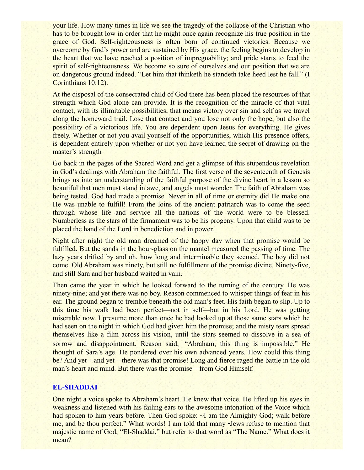your life. How many times in life we see the tragedy of the collapse of the Christian who has to be brought low in order that he might once again recognize his true position in the grace of God. Self-righteousness is often born of continued victories. Because we overcome by God's power and are sustained by His grace, the feeling begins to develop in the heart that we have reached a position of impregnability; and pride starts to feed the spirit of self-righteousness. We become so sure of ourselves and our position that we are on dangerous ground indeed. "Let him that thinketh he standeth take heed lest he fall." (I Corinthians 10:12).

At the disposal of the consecrated child of God there has been placed the resources of that strength which God alone can provide. It is the recognition of the miracle of that vital contact, with its illimitable possibilities, that means victory over sin and self as we travel along the homeward trail. Lose that contact and you lose not only the hope, but also the possibility of a victorious life. You are dependent upon Jesus for everything. He gives freely. Whether or not you avail yourself of the opportunities, which His presence offers, is dependent entirely upon whether or not you have learned the secret of drawing on the master's strength

Go back in the pages of the Sacred Word and get a glimpse of this stupendous revelation in God's dealings with Abraham the faithful. The first verse of the seventeenth of Genesis brings us into an understanding of the faithful purpose of the divine heart in a lesson so beautiful that men must stand in awe, and angels must wonder. The faith of Abraham was being tested. God had made a promise. Never in all of time or eternity did He make one He was unable to fulfill! From the loins of the ancient patriarch was to come the seed through whose life and service all the nations of the world were to be blessed. Numberless as the stars of the firmament was to be his progeny. Upon that child was to be placed the hand of the Lord in benediction and in power.

Night after night the old man dreamed of the happy day when that promise would be fulfilled. But the sands in the hour-glass on the mantel measured the passing of time. The lazy years drifted by and oh, how long and interminable they seemed. The boy did not come. Old Abraham was ninety, but still no fulfillment of the promise divine. Ninety-five, and still Sara and her husband waited in vain.

Then came the year in which he looked forward to the turning of the century. He was ninety-nine; and yet there was no boy. Reason commenced to whisper things of fear in his ear. The ground began to tremble beneath the old man's feet. His faith began to slip. Up to this time his walk had been perfect—not in self—but in his Lord. He was getting miserable now. I presume more than once he had looked up at those same stars which he had seen on the night in which God had given him the promise; and the misty tears spread themselves like a film across his vision, until the stars seemed to dissolve in a sea of sorrow and disappointment. Reason said, "Abraham, this thing is impossible." He thought of Sara's age. He pondered over his own advanced years. How could this thing be? And yet—and yet—there was that promise! Long and fierce raged the battle in the old man's heart and mind. But there was the promise—from God Himself.

### **EL-SHADDAI**

One night a voice spoke to Abraham's heart. He knew that voice. He lifted up his eyes in weakness and listened with his failing ears to the awesome intonation of the Voice which had spoken to him years before. Then God spoke: ~I am the Almighty God; walk before me, and be thou perfect." What words! I am told that many •Jews refuse to mention that majestic name of God, "El-Shaddai," but refer to that word as "The Name." What does it mean?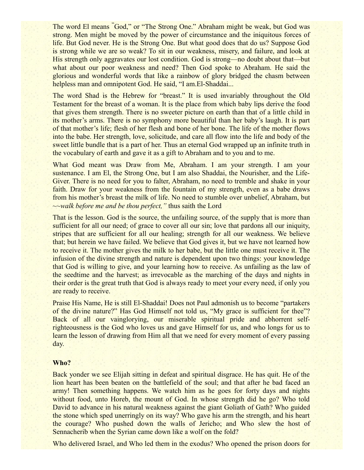The word El means "God," or "The Strong One." Abraham might be weak, but God was strong. Men might be moved by the power of circumstance and the iniquitous forces of life. But God never. He is the Strong One. But what good does that do us? Suppose God is strong while we are so weak? To sit in our weakness, misery, and failure, and look at His strength only aggravates our lost condition. God is strong—no doubt about that—but what about our poor weakness and need? Then God spoke to Abraham. He said the glorious and wonderful words that like a rainbow of glory bridged the chasm between helpless man and omnipotent God. He said, "I am.El-Shaddai...

The word Shad is the Hebrew for "breast." It is used invariably throughout the Old Testament for the breast of a woman. It is the place from which baby lips derive the food that gives them strength. There is no sweeter picture on earth than that of a little child in its mother's arms. There is no symphony more beautiful than her baby's laugh. It is part of that mother's life; flesh of her flesh and bone of her bone. The life of the mother flows into the babe. Her strength, love, solicitude, and care all flow into the life and body of the sweet little bundle that is a part of her. Thus an eternal God wrapped up an infinite truth in the vocabulary of earth and gave it as a gift to Abraham and to you and to me.

What God meant was Draw from Me, Abraham. I am your strength. I am your sustenance. I am El, the Strong One, but I am also Shaddai, the Nourisher, and the Life-Giver. There is no need for you to falter, Abraham, no need to tremble and shake in your faith. Draw for your weakness from the fountain of my strength, even as a babe draws from his mother's breast the milk of life. No need to stumble over unbelief, Abraham, but *~~walk before me and be thou perfect,"* thus saith the Lord

That is the lesson. God is the source, the unfailing source, of the supply that is more than sufficient for all our need; of grace to cover all our sin; love that pardons all our iniquity, stripes that are sufficient for all our healing; strength for all our weakness. We believe that; but herein we have failed. We believe that God gives it, but we have not learned how to receive it. The mother gives the milk to her babe, but the little one must receive it. The infusion of the divine strength and nature is dependent upon two things: your knowledge that God is willing to give, and your learning how to receive. As unfailing as the law of the seedtime and the harvest; as irrevocable as the marching of the days and nights in their order is the great truth that God is always ready to meet your every need, if only you are ready to receive.

Praise His Name, He is still El-Shaddai! Does not Paul admonish us to become "partakers of the divine nature?" Has God Himself not told us, "My grace is sufficient for thee"? Back of all our vainglorying, our miserable spiritual pride and abhorrent selfrighteousness is the God who loves us and gave Himself for us, and who longs for us to learn the lesson of drawing from Him all that we need for every moment of every passing day.

#### **Who?**

Back yonder we see Elijah sitting in defeat and spiritual disgrace. He has quit. He of the lion heart has been beaten on the battlefield of the soul; and that after he bad faced an army! Then something happens. We watch him as he goes for forty days and nights without food, unto Horeb, the mount of God. In whose strength did he go? Who told David to advance in his natural weakness against the giant Goliath of Gath? Who guided the stone which sped unerringly on its way? Who gave his arm the strength, and his heart the courage? Who pushed down the walls of Jericho; and Who slew the host of Sennacherib when the Syrian came down like a wolf on the fold?

Who delivered Israel, and Who led them in the exodus? Who opened the prison doors for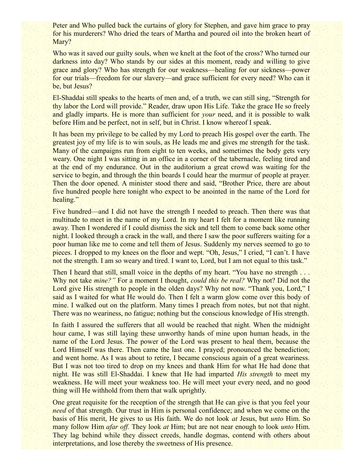Peter and Who pulled back the curtains of glory for Stephen, and gave him grace to pray for his murderers? Who dried the tears of Martha and poured oil into the broken heart of Mary?

Who was it saved our guilty souls, when we knelt at the foot of the cross? Who turned our darkness into day? Who stands by our sides at this moment, ready and willing to give grace and glory? Who has strength for our weakness—healing for our sickness—power for our trials—freedom for our slavery—and grace sufficient for every need? Who can it be, but Jesus?

El-Shaddai still speaks to the hearts of men and, of a truth, we can still sing, "Strength for thy labor the Lord will provide." Reader, draw upon His Life. Take the grace He so freely and gladly imparts. He is more than sufficient for *your* need, and it is possible to walk before Him and be perfect, not in self, but in Christ. I know whereof I speak.

It has been my privilege to be called by my Lord to preach His gospel over the earth. The greatest joy of my life is to win souls, as He leads me and gives me strength for the task. Many of the campaigns run from eight to ten weeks, and sometimes the body gets very weary. One night I was sitting in an office in a corner of the tabernacle, feeling tired and at the end of my endurance. Out in the auditorium a great crowd was waiting for the service to begin, and through the thin boards I could hear the murmur of people at prayer. Then the door opened. A minister stood there and said, "Brother Price, there are about five hundred people here tonight who expect to be anointed in the name of the Lord for healing."

Five hundred—and I did not have the strength I needed to preach. Then there was that multitude to meet in the name of my Lord. In my heart I felt for a moment like running away. Then I wondered if I could dismiss the sick and tell them to come back some other night. I looked through a crack in the wall, and there I saw the poor sufferers waiting for a poor human like me to come and tell them of Jesus. Suddenly my nerves seemed to go to pieces. I dropped to my knees on the floor and wept. "Oh, Jesus," I cried, "I can't. I have not the strength. I am so weary and tired. I want to, Lord, but I am not equal to this task."

Then I heard that still, small voice in the depths of my heart. "You have no strength . . . Why not take *mine?"* For a moment I thought, *could this be real?* Why not? Did not the Lord give His strength to people in the olden days? Why not now. "Thank you, Lord," I said as I waited for what He would do. Then I felt a warm glow come over this body of mine. I walked out on the platform. Many times I preach from notes, but not that night. There was no weariness, no fatigue; nothing but the conscious knowledge of His strength.

In faith I assured the sufferers that all would be reached that night. When the midnight hour came, I was still laying these unworthy hands of mine upon human heads, in the name of the Lord Jesus. The power of the Lord was present to heal them, because the Lord Himself was there. Then came the last one. I prayed; pronounced the benediction; and went home. As I was about to retire, I became conscious again of a great weariness. But I was not too tired to drop on my knees and thank Him for what He had done that night. He was still El-Shaddai. I knew that He had imparted *His strength* to meet my weakness. He will meet your weakness too. He will meet your every need, and no good thing will He withhold from them that walk uprightly.

One great requisite for the reception of the strength that He can give is that you feel your *need* of that strength. Our trust in Him is personal confidence; and when we come on the basis of His merit, He gives to us His faith. We do not look *at* Jesus, but *unto* Him. So many follow Him *afar off.* They look *at* Him; but are not near enough to look *unto* Him. They lag behind while they dissect creeds, handle dogmas, contend with others about interpretations, and lose thereby the sweetness of His presence.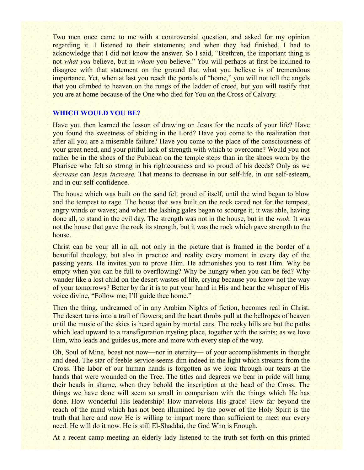Two men once came to me with a controversial question, and asked for my opinion regarding it. I listened to their statements; and when they had finished, I had to acknowledge that I did not know the answer. So I said, "Brethren, the important thing is not *what you* believe, but in *whom* you believe." You will perhaps at first be inclined to disagree with that statement on the ground that what you believe is of tremendous importance. Yet, when at last you reach the portals of "home," you will not tell the angels that you climbed to heaven on the rungs of the ladder of creed, but you will testify that you are at home because of the One who died for You on the Cross of Calvary.

### **WHICH WOULD YOU BE?**

Have you then learned the lesson of drawing on Jesus for the needs of your life? Have you found the sweetness of abiding in the Lord? Have you come to the realization that after all you are a miserable failure? Have you come to the place of the consciousness of your great need, and your pitiful lack of strength with which to overcome? Would you not rather be in the shoes of the Publican on the temple steps than in the shoes worn by the Pharisee who felt so strong in his righteousness and so proud of his deeds? Only as we *decrease* can Jesus *increase.* That means to decrease in our self-life, in our self-esteem, and in our self-confidence.

The house which was built on the sand felt proud of itself, until the wind began to blow and the tempest to rage. The house that was built on the rock cared not for the tempest, angry winds or waves; and when the lashing gales began to scourge it, it was able, having done all, to stand in the evil day. The strength was not in the house, but in the *rook.* It was not the house that gave the rock its strength, but it was the rock which gave strength to the house.

Christ can be your all in all, not only in the picture that is framed in the border of a beautiful theology, but also in practice and reality every moment in every day of the passing years. He invites you to prove Him. He admonishes you to test Him. Why be empty when you can be full to overflowing? Why be hungry when you can be fed? Why wander like a lost child on the desert wastes of life, crying because you know not the way of your tomorrows? Better by far it is to put your hand in His and hear the whisper of His voice divine, "Follow me; I'll guide thee home."

Then the thing, undreamed of in any Arabian Nights of fiction, becomes real in Christ. The desert turns into a trail of flowers; and the heart throbs pull at the bellropes of heaven until the music of the skies is heard again by mortal ears. The rocky hills are but the paths which lead upward to a transfiguration trysting place, together with the saints; as we love Him, who leads and guides us, more and more with every step of the way.

Oh, Soul of Mine, boast not now—nor in eternity— of your accomplishments in thought and deed. The star of feeble service seems dim indeed in the light which streams from the Cross. The labor of our human hands is forgotten as we look through our tears at the hands that were wounded on the Tree. The titles and degrees we bear in pride will hang their heads in shame, when they behold the inscription at the head of the Cross. The things we have done will seem so small in comparison with the things which He has done. How wonderful His leadership! How marvelous His grace! How far beyond the reach of the mind which has not been illumined by the power of the Holy Spirit is the truth that here and now He is willing to impart more than sufficient to meet our every need. He will do it now. He is still El-Shaddai, the God Who is Enough.

At a recent camp meeting an elderly lady listened to the truth set forth on this printed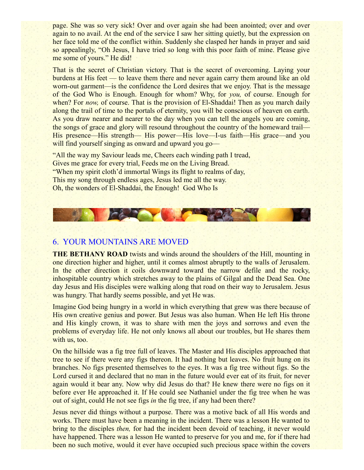page. She was so very sick! Over and over again she had been anointed; over and over again to no avail. At the end of the service I saw her sitting quietly, but the expression on her face told me of the conflict within. Suddenly she clasped her hands in prayer and said so appealingly, "Oh Jesus, I have tried so long with this poor faith of mine. Please give me some of yours." He did!

That is the secret of Christian victory. That is the secret of overcoming. Laying your burdens at His feet — to leave them there and never again carry them around like an old worn-out garment—is the confidence the Lord desires that we enjoy. That is the message of the God Who is Enough. Enough for whom? Why, for *you,* of course. Enough for when? For *now*, of course. That is the provision of El-Shaddai! Then as you march daily along the trail of time to the portals of eternity, you will be conscious of heaven on earth. As you draw nearer and nearer to the day when you can tell the angels you are coming, the songs of grace and glory will resound throughout the country of the homeward trail— His presence—His strength— His power—His love—I-us faith—His grace—and you will find yourself singing as onward and upward you go—

"All the way my Saviour leads me, Cheers each winding path I tread, Gives me grace for every trial, Feeds me on the Living Bread. "When my spirit cloth'd immortal Wings its flight to realms of day, This my song through endless ages, Jesus led me all the way. Oh, the wonders of El-Shaddai, the Enough! God Who Is

**CAR THE** 

## 6. YOUR MOUNTAINS ARE MOVED

**THE BETHANY ROAD** twists and winds around the shoulders of the Hill, mounting in one direction higher and higher, until it comes almost abruptly to the walls of Jerusalem. In the other direction it coils downward toward the narrow defile and the rocky, inhospitable country which stretches away to the plains of Gilgal and the Dead Sea. One day Jesus and His disciples were walking along that road on their way to Jerusalem. Jesus was hungry. That hardly seems possible, and yet He was.

Imagine God being hungry in a world in which everything that grew was there because of His own creative genius and power. But Jesus was also human. When He left His throne and His kingly crown, it was to share with men the joys and sorrows and even the problems of everyday life. He not only knows all about our troubles, but He shares them with us, too.

On the hillside was a fig tree full of leaves. The Master and His disciples approached that tree to see if there were any figs thereon. It had nothing but leaves. No fruit hung on its branches. No figs presented themselves to the eyes. It was a fig tree without figs. So the Lord cursed it and declared that no man in the future would ever eat of its fruit, for never again would it bear any. Now why did Jesus do that? He knew there were no figs on it before ever He approached it. If He could see Nathaniel under the fig tree when he was out of sight, could He not see figs *in* the fig tree, if any had been there?

Jesus never did things without a purpose. There was a motive back of all His words and works. There must have been a meaning in the incident. There was a lesson He wanted to bring to the disciples *then,* for had the incident been devoid of teaching, it never would have happened. There was a lesson He wanted to preserve for you and me, for if there had been no such motive, would it ever have occupied such precious space within the covers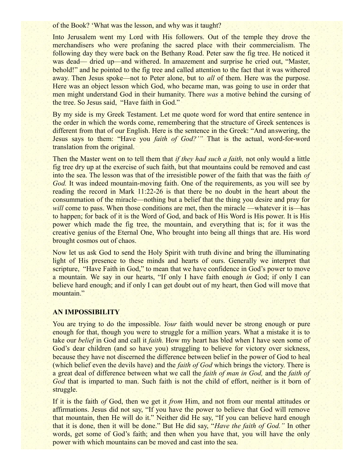of the Book? 'What was the lesson, and why was it taught?

Into Jerusalem went my Lord with His followers. Out of the temple they drove the merchandisers who were profaning the sacred place with their commercialism. The following day they were back on the Bethany Road. Peter saw the fig tree. He noticed it was dead— dried up—and withered. In amazement and surprise he cried out, "Master, behold!" and he pointed to the fig tree and called attention to the fact that it was withered away. Then Jesus spoke—not to Peter alone, but to *all* of them. Here was the purpose. Here was an object lesson which God, who became man, was going to use in order that men might understand God in their humanity. There *was* a motive behind the cursing of the tree. So Jesus said, "Have faith in God."

By my side is my Greek Testament. Let me quote word for word that entire sentence in the order in which the words come, remembering that the structure of Greek sentences is different from that of our English. Here is the sentence in the Greek: "And answering, the Jesus says to them: "Have you *faith of God?'"* That is the actual, word-for-word translation from the original.

Then the Master went on to tell them that *if they had such a faith,* not only would a little fig tree dry up at the exercise of such faith, but that mountains could be removed and cast into the sea. The lesson was that of the irresistible power of the faith that was the faith *of God.* It was indeed mountain-moving faith. One of the requirements, as you will see by reading the record in Mark 11:22-26 is that there be no doubt in the heart about the consummation of the miracle—nothing but a belief that the thing you desire and pray for *will* come to pass. When those conditions are met, then the miracle —whatever it is—has to happen; for back of it is the Word of God, and back of His Word is His power. It is His power which made the fig tree, the mountain, and everything that is; for it was the creative genius of the Eternal One, Who brought into being all things that are. His word brought cosmos out of chaos.

Now let us ask God to send the Holy Spirit with truth divine and bring the illuminating light of His presence to these minds and hearts of ours. Generally we interpret that scripture, "Have Faith in God," to mean that we have confidence in God's power to move a mountain. We say in our hearts, "If only I have faith enough *in* God; if only I can believe hard enough; and if only I can get doubt out of my heart, then God will move that mountain."

#### **AN IMPOSSIBILITY**

You are trying to do the impossible. *Your* faith would never be strong enough or pure enough for that, though you were to struggle for a million years. What a mistake it is to take our *belief* in God and call it *faith*. How my heart has bled when I have seen some of God's dear children (and so have you) struggling to believe for victory over sickness, because they have not discerned the difference between belief in the power of God to heal (which belief even the devils have) and the *faith of God* which brings the victory. There is a great deal of difference between what we call the *faith of man in God,* and the *faith of God* that is imparted to man. Such faith is not the child of effort, neither is it born of struggle.

If it is the faith *of* God, then we get it *from* Him, and not from our mental attitudes or affirmations. Jesus did not say, "If you have the power to believe that God will remove that mountain, then He will do it." Neither did He say, "If you can believe hard enough that it is done, then it will be done." But He did say, "*Have the faith of God."* In other words, get some of God's faith; and then when you have that, you will have the only power with which mountains can be moved and cast into the sea.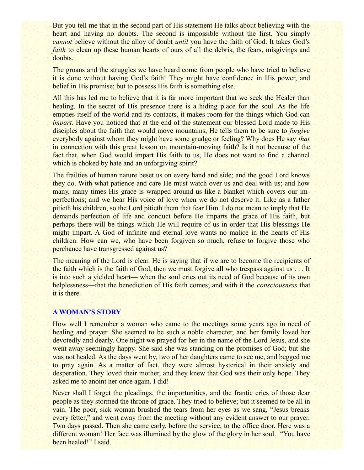But you tell me that in the second part of His statement He talks about believing with the heart and having no doubts. The second is impossible without the first. You simply *cannot* believe without the alloy of doubt *until* you have the faith of God. It takes God's *faith* to clean up these human hearts of ours of all the debris, the fears, misgivings and doubts.

The groans and the struggles we have heard come from people who have tried to believe it is done without having God's faith! They might have confidence in His power, and belief in His promise; but to possess His faith is something else.

All this has led me to believe that it is far more important that we seek the Healer than healing. In the secret of His presence there is a hiding place for the soul. As the life empties itself of the world and its contacts, it makes room for the things which God can *impart.* Have you noticed that at the end of the statement our blessed Lord made to His disciples about the faith that would move mountains, He tells them to be sure to *forgive* everybody against whom they might have some grudge or feeling? Why does He say *that* in connection with this great lesson on mountain-moving faith? Is it not because of the fact that, when God would impart His faith to us, He does not want to find a channel which is choked by hate and an unforgiving spirit?

The frailties of human nature beset us on every hand and side; and the good Lord knows they do. With what patience and care He must watch over us and deal with us; and how many, many times His grace is wrapped around us like a blanket which covers our imperfections; and we hear His voice of love when we do not deserve it. Like as a father pitieth his children, so the Lord pitieth them that fear Him. I do not mean to imply that He demands perfection of life and conduct before He imparts the grace of His faith, but perhaps there will be things which He will require of us in order that His blessings He might impart. A God of infinite and eternal love wants no malice in the hearts of His children. How can we, who have been forgiven so much, refuse to forgive those who perchance have transgressed against us?

The meaning of the Lord is clear. He is saying that if we are to become the recipients of the faith which is the faith of God, then we must forgive all who trespass against us . . . It is into such a yielded heart— when the soul cries out its need of God because of its own helplessness—that the benediction of His faith comes; and with it the *consciousness* that it is there.

#### **A WOMAN'S STORY**

How well I remember a woman who came to the meetings some years ago in need of healing and prayer. She seemed to be such a noble character, and her family loved her devotedly and dearly. One night we prayed for her in the name of the Lord Jesus, and she went away seemingly happy. She said she was standing on the promises of God; but she was not healed. As the days went by, two of her daughters came to see me, and begged me to pray again. As a matter of fact, they were almost hysterical in their anxiety and desperation. They loved their mother, and they knew that God was their only hope. They asked me to anoint her once again. I did!

Never shall I forget the pleadings, the importunities, and the frantic cries of those dear people as they stormed the throne of grace. They tried to believe; but it seemed to be all in vain. The poor, sick woman brushed the tears from her eyes as we sang, "Jesus breaks every fetter," and went away from the meeting without any evident answer to our prayer. Two days passed. Then she came early, before the service, to the office door. Here was a different woman! Her face was illumined by the glow of the glory in her soul. "You have been healed!" I said.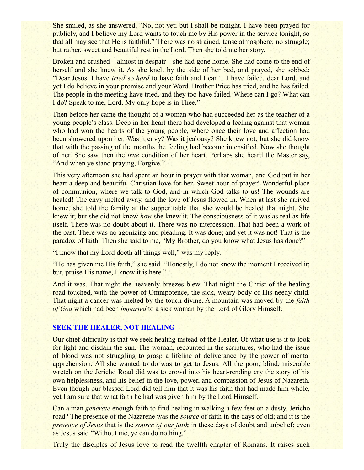She smiled, as she answered, "No, not yet; but I shall be tonight. I have been prayed for publicly, and I believe my Lord wants to touch me by His power in the service tonight, so that all may see that He is faithful." There was no strained, tense atmosphere; no struggle; but rather, sweet and beautiful rest in the Lord. Then she told me her story.

Broken and crushed—almost in despair—she had gone home. She had come to the end of herself and she knew it. As she knelt by the side of her bed, and prayed, she sobbed: "Dear Jesus, I have *tried* so *hard* to have faith and I can't. I have failed, dear Lord, and yet I do believe in your promise and your Word. Brother Price has tried, and he has failed. The people in the meeting have tried, and they too have failed. Where can I go? What can I do? Speak to me, Lord. My only hope is in Thee."

Then before her came the thought of a woman who had succeeded her as the teacher of a young people's class. Deep in her heart there had developed a feeling against that woman who had won the hearts of the young people, where once their love and affection had been showered upon her. Was it envy? Was it jealousy? She knew not; but she did know that with the passing of the months the feeling had become intensified. Now she thought of her. She saw then the *true* condition of her heart. Perhaps she heard the Master say, "And when ye stand praying, Forgive."

This very afternoon she had spent an hour in prayer with that woman, and God put in her heart a deep and beautiful Christian love for her. Sweet hour of prayer! Wonderful place of communion, where we talk to God, and in which God talks to us! The wounds are healed! The envy melted away, and the love of Jesus flowed in. When at last she arrived home, she told the family at the supper table that she would be healed that night. She knew it; but she did not know *how* she knew it. The consciousness of it was as real as life itself. There was no doubt about it. There was no intercession. That had been a work of the past. There was no agonizing and pleading. It was done; and yet it was not! That is the paradox of faith. Then she said to me, "My Brother, do you know what Jesus has done?"

"I know that my Lord doeth all things well," was my reply.

"He has given me His faith," she said. "Honestly, I do not know the moment I received it; but, praise His name, I know it is here."

And it was. That night the heavenly breezes blew. That night the Christ of the healing road touched, with the power of Omnipotence, the sick, weary body of His needy child. That night a cancer was melted by the touch divine. A mountain was moved by the *faith of God* which had been *imparted* to a sick woman by the Lord of Glory Himself.

### **SEEK THE HEALER, NOT HEALING**

Our chief difficulty is that we seek healing instead of the Healer. Of what use is it to look for light and disdain the sun. The woman, recounted in the scriptures, who had the issue of blood was not struggling to grasp a lifeline of deliverance by the power of mental apprehension. All she wanted to do was to get to Jesus. All the poor, blind, miserable wretch on the Jericho Road did was to crowd into his heart-rending cry the story of his own helplessness, and his belief in the love, power, and compassion of Jesus of Nazareth. Even though our blessed Lord did tell him that it was his faith that had made him whole, yet I am sure that what faith he had was given him by the Lord Himself.

Can a man *generate* enough faith to find healing in walking a few feet on a dusty, Jericho road? The presence of the Nazarene was the *source* of faith in the days of old; and it is the *presence of Jesus that is the source of our faith in these days of doubt and unbelief; even* as Jesus said "Without me, ye can do nothing."

Truly the disciples of Jesus love to read the twelfth chapter of Romans. It raises such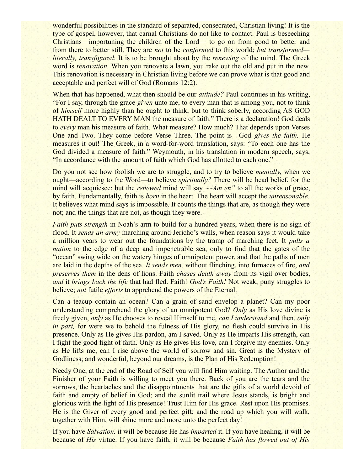wonderful possibilities in the standard of separated, consecrated, Christian living! It is the type of gospel, however, that carnal Christians do not like to contact. Paul is beseeching Christians—importuning the children of the Lord— to go on from good to better and from there to better still. They are *not* to be *conformed* to this world; *but transformed literally, transfigured.* It is to be brought about by the *renewing* of the mind. The Greek word is *renovation.* When you renovate a lawn, you rake out the old and put in the new. This renovation is necessary in Christian living before we can prove what is that good and acceptable and perfect will of God (Romans 12:2).

When that has happened, what then should be our *attitude?* Paul continues in his writing, "For I say, through the grace *given* unto me, to every man that is among you, not to think of *himself* more highly than he ought to think, but to think soberly, according AS GOD HATH DEALT TO EVERY MAN the measure of faith." There is a declaration! God deals to *every* man his measure of faith. What measure? How much? That depends upon Verses One and Two. They come before Verse Three. The point is—God *gives the faith.* He measures it out! The Greek, in a word-for-word translation, says: "To each one has the God divided a measure of faith." Weymouth, in his translation in modern speech, says, "In accordance with the amount of faith which God has allotted to each one."

Do you not see how foolish we are to struggle, and to try to believe *mentally,* when we ought—according to the Word—to believe *spiritually?* There will be head belief, for the mind will acquiesce; but the *renewed* mind will say *~~Am en"* to all the works of grace, by faith. Fundamentally, faith is *born* in the heart. The heart will accept the *unreasonable.* It believes what mind says is impossible. It counts the things that are, as though they were not; and the things that are not, as though they were.

*Faith puts strength* in Noah's arm to build for a hundred years, when there is no sign of flood. It *sends an army* marching around Jericho's walls, when reason says it would take a million years to wear out the foundations by the tramp of marching feet. It *pulls a nation* to the edge of a deep and impenetrable sea, only to find that the gates of the "ocean" swing wide on the watery hinges of omnipotent power, and that the paths of men are laid in the depths of the sea. *It sends men,* without flinching, into furnaces of fire, *and preserves them* in the dens of lions. Faith *chases death away* from its vigil over bodies, *and* it *brings back the life* that had fled. Faith! *God's Faith!* Not weak, puny struggles to believe; *not* futile *efforts* to apprehend the powers of the Eternal.

Can a teacup contain an ocean? Can a grain of sand envelop a planet? Can my poor understanding comprehend the glory of an omnipotent God? *Only* as His love divine is freely given, *only* as He chooses to reveal Himself to me, *can I understand* and then, *only in part,* for were we to behold the fulness of His glory, no flesh could survive in His presence. Only as He gives His pardon, am I saved. Only as He imparts His strength, can I fight the good fight of faith. Only as He gives His love, can I forgive my enemies. Only as He lifts me, can I rise above the world of sorrow and sin. Great is the Mystery of Godliness; and wonderful, beyond our dreams, is the Plan of His Redemption!

Needy One, at the end of the Road of Self you will find Him waiting. The Author and the Finisher of your Faith is willing to meet you there. Back of you are the tears and the sorrows, the heartaches and the disappointments that are the gifts of a world devoid of faith and empty of belief in God; and the sunlit trail where Jesus stands, is bright and glorious with the light of His presence! Trust Him for His grace. Rest upon His promises. He is the Giver of every good and perfect gift; and the road up which you will walk, together with Him, will shine more and more unto the perfect day!

If you have *Salvation,* it will be because He has *imparted* it. If you have healing, it will be because of *His* virtue. If you have faith, it will be because *Faith has flowed out of His*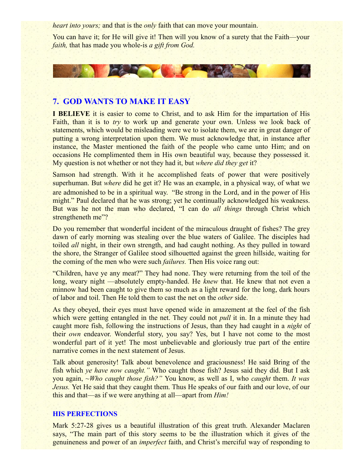*heart into yours;* and that is the *only* faith that can move your mountain.

**TANK WEIGHT** 

You can have it; for He will give it! Then will you know of a surety that the Faith—your *faith,* that has made you whole-is *a gift from God.*

## **7. GOD WANTS TO MAKE IT EASY**

**I BELIEVE** it is easier to come to Christ, and to ask Him for the impartation of His Faith, than it is to *try* to work up and generate your own. Unless we look back of statements, which would be misleading were we to isolate them, we are in great danger of putting a wrong interpretation upon them. We must acknowledge that, in instance after instance, the Master mentioned the faith of the people who came unto Him; and on occasions He complimented them in His own beautiful way, because they possessed it. My question is not whether or not they had it, but *where did they get* it?

Samson had strength. With it he accomplished feats of power that were positively superhuman. But *where* did he get it? He was an example, in a physical way, of what we are admonished to be in a spiritual way. "Be strong in the Lord, and in the power of His might." Paul declared that he was strong; yet he continually acknowledged his weakness. But was he not the man who declared, "I can do *all things* through Christ which strengtheneth me"?

Do you remember that wonderful incident of the miraculous draught of fishes? The grey dawn of early morning was stealing over the blue waters of Galilee. The disciples had toiled *all* night, in their own strength, and had caught nothing. As they pulled in toward the shore, the Stranger of Galilee stood silhouetted against the green hillside, waiting for the coming of the men who were such *failures.* Then His voice rang out:

"Children, have ye any meat?" They had none. They were returning from the toil of the long, weary night —absolutely empty-handed. He *knew* that. He knew that not even a minnow had been caught to give them so much as a light reward for the long, dark hours of labor and toil. Then He told them to cast the net on the *other* side.

As they obeyed, their eyes must have opened wide in amazement at the feel of the fish which were getting entangled in the net. They could not *pull* it in. In a minute they had caught more fish, following the instructions of Jesus, than they had caught in a *night* of their *own* endeavor. Wonderful story, you say? Yes, but I have not come to the most wonderful part of it yet! The most unbelievable and gloriously true part of the entire narrative comes in the next statement of Jesus.

Talk about generosity! Talk about benevolence and graciousness! He said Bring of the fish which *ye have now caught."* Who caught those fish? Jesus said they did. But I ask you again, *~Who caught those fish?"* You know, as well as I, who *caught* them. *It was Jesus.* Yet He said that they caught them. Thus He speaks of our faith and our love, of our this and that—as if we were anything at all—apart from *Him!*

### **HIS PERFECTIONS**

Mark 5:27-28 gives us a beautiful illustration of this great truth. Alexander Maclaren says, "The main part of this story seems to be the illustration which it gives of the genuineness and power of an *imperfect* faith, and Christ's merciful way of responding to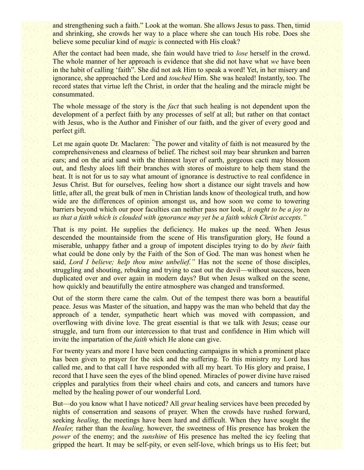and strengthening such a faith." Look at the woman. She allows Jesus to pass. Then, timid and shrinking, she crowds her way to a place where she can touch His robe. Does she believe some peculiar kind of *magic* is connected with His cloak?

After the contact had been made, she fain would have tried to *lose* herself in the crowd. The whole manner of her approach is evidence that she did not have what *we* have been in the habit of calling 'faith". She did not ask Him to speak a word! Yet, in her misery and ignorance, she approached the Lord and *touched* Him. She was healed! Instantly, too. The record states that virtue left the Christ, in order that the healing and the miracle might be consummated.

The whole message of the story is the *fact* that such healing is not dependent upon the development of a perfect faith by any processes of self at all; but rather on that contact with Jesus, who is the Author and Finisher of our faith, and the giver of every good and perfect gift.

Let me again quote Dr. Maclaren: "The power and vitality of faith is not measured by the comprehensiveness and clearness of belief. The richest soil may bear shrunken and barren ears; and on the arid sand with the thinnest layer of earth, gorgeous cacti may blossom out, and fleshy aloes lift their branches with stores of moisture to help them stand the heat. It is not for us to say what amount of ignorance is destructive to real confidence in Jesus Christ. But for ourselves, feeling how short a distance our sight travels and how little, after all, the great bulk of men in Christian lands know of theological truth, and how wide are the differences of opinion amongst us, and how soon we come to towering barriers beyond which our poor faculties can neither pass nor look, *it ought to be a joy to us that a faith which is clouded with ignorance may yet be a faith which Christ accepts."*

That is my point. He supplies the deficiency. He makes up the need. When Jesus descended the mountainside from the scene of His transfiguration glory, He found a miserable, unhappy father and a group of impotent disciples trying to do by *their* faith what could be done only by the Faith of the Son of God. The man was honest when he said, *Lord I believe; help thou mine unbelief."* Has not the scene of those disciples, struggling and shouting, rebuking and trying to cast out the devil—without success, been duplicated over and over again in modern days? But when Jesus walked on the scene, how quickly and beautifully the entire atmosphere was changed and transformed.

Out of the storm there came the calm. Out of the tempest there was born a beautiful peace. Jesus was Master of the situation, and happy was the man who beheld that day the approach of a tender, sympathetic heart which was moved with compassion, and overflowing with divine love. The great essential is that we talk with Jesus; cease our struggle, and turn from our intercession to that trust and confidence in Him which will invite the impartation of the *faith* which He alone can give.

For twenty years and more I have been conducting campaigns in which a prominent place has been given to prayer for the sick and the suffering. To this ministry my Lord has called me, and to that call I have responded with all my heart. To His glory and praise, I record that I have seen the eyes of the blind opened. Miracles of power divine have raised cripples and paralytics from their wheel chairs and cots, and cancers and tumors have melted by the healing power of our wonderful Lord.

But—do you know what I have noticed? All *great* healing services have been preceded by nights of conserration and seasons of prayer. When the crowds have rushed forward, seeking *healing,* the meetings have been hard and difficult. When they have sought the *Healer,* rather than the *healing,* however, the sweetness of His presence has broken the *power* of the enemy; and the *sunshine* of His presence has melted the icy feeling that gripped the heart. It may be self-pity, or even self-love, which brings us to His feet; but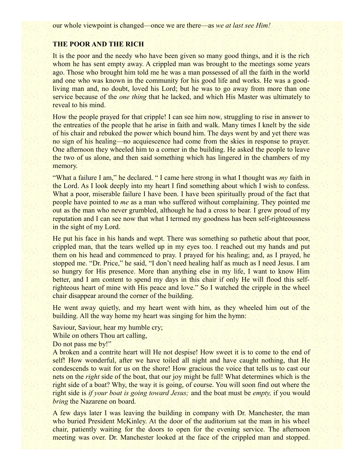our whole viewpoint is changed—once we are there—as *we at last see Him!*

### **THE POOR AND THE RICH**

It is the poor and the needy who have been given so many good things, and it is the rich whom he has sent empty away. A crippled man was brought to the meetings some years ago. Those who brought him told me he was a man possessed of all the faith in the world and one who was known in the community for his good life and works. He was a goodliving man and, no doubt, loved his Lord; but he was to go away from more than one service because of the *one thing* that he lacked, and which His Master was ultimately to reveal to his mind.

How the people prayed for that cripple! I can see him now, struggling to rise in answer to the entreaties of the people that he arise in faith and walk. Many times I knelt by the side of his chair and rebuked the power which bound him. The days went by and yet there was no sign of his healing—no acquiescence had come from the skies in response to prayer. One afternoon they wheeled him to a corner in the building. He asked the people to leave the two of us alone, and then said something which has lingered in the chambers of my memory.

"What a failure I am," he declared. " I came here strong in what I thought was *my* faith in the Lord. As I look deeply into my heart I find something about which I wish to confess. What a poor, miserable failure I have been. I have been spiritually proud of the fact that people have pointed to *me* as a man who suffered without complaining. They pointed me out as the man who never grumbled, although he had a cross to bear. I grew proud of my reputation and I can see now that what I termed my goodness has been self-righteousness in the sight of my Lord.

He put his face in his hands and wept. There was something so pathetic about that poor, crippled man, that the tears welled up in my eyes too. I reached out my hands and put them on his head and commenced to pray. I prayed for his healing; and, as I prayed, he stopped me. "Dr. Price," he said, "I don't need healing half as much as I need Jesus. I am so hungry for His presence. More than anything else in my life, I want to know Him better, and I am content to spend my days in this chair if only He will flood this selfrighteous heart of mine with His peace and love." So I watched the cripple in the wheel chair disappear around the corner of the building.

He went away quietly, and my heart went with him, as they wheeled him out of the building. All the way home my heart was singing for him the hymn:

Saviour, Saviour, hear my humble cry;

While on others Thou art calling,

Do not pass me by!"

A broken and a contrite heart will He not despise! How sweet it is to come to the end of self! How wonderful, after we have toiled all night and have caught nothing, that He condescends to wait for us on the shore! How gracious the voice that tells us to cast our nets on the *right* side of the boat, that our joy might be full! What determines which is the right side of a boat? Why, the way it is going, of course. You will soon find out where the right side is *if your boat is going toward Jesus;* and the boat must be *empty,* if you would *bring* the Nazarene on board.

A few days later I was leaving the building in company with Dr. Manchester, the man who buried President McKinley. At the door of the auditorium sat the man in his wheel chair, patiently waiting for the doors to open for the evening service. The afternoon meeting was over. Dr. Manchester looked at the face of the crippled man and stopped.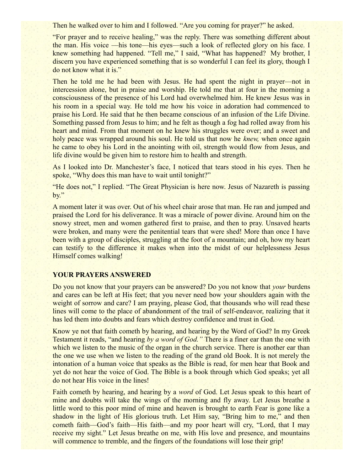Then he walked over to him and I followed. "Are you coming for prayer?" he asked.

"For prayer and to receive healing," was the reply. There was something different about the man. His voice —his tone—his eyes—such a look of reflected glory on his face. I knew something had happened. "Tell me," I said, "What has happened? My brother, I discern you have experienced something that is so wonderful I can feel its glory, though I do not know what it is."

Then he told me he had been with Jesus. He had spent the night in prayer—not in intercession alone, but in praise and worship. He told me that at four in the morning a consciousness of the presence of his Lord had overwhelmed him. He knew Jesus was in his room in a special way. He told me how his voice in adoration had commenced to praise his Lord. He said that he then became conscious of an infusion of the Life Divine. Something passed from Jesus to him; and he felt as though a fog had rolled away from his heart and mind. From that moment on he knew his struggles were over; and a sweet and holy peace was wrapped around his soul. He told us that now he *knew,* when once again he came to obey his Lord in the anointing with oil, strength would flow from Jesus, and life divine would be given him to restore him to health and strength.

As I looked into Dr. Manchester's face, I noticed that tears stood in his eyes. Then he spoke, "Why does this man have to wait until tonight?"

"He does not," I replied. "The Great Physician is here now. Jesus of Nazareth is passing by."

A moment later it was over. Out of his wheel chair arose that man. He ran and jumped and praised the Lord for his deliverance. It was a miracle of power divine. Around him on the snowy street, men and women gathered first to praise, and then to pray. Unsaved hearts were broken, and many were the penitential tears that were shed! More than once I have been with a group of disciples, struggling at the foot of a mountain; and oh, how my heart can testify to the difference it makes when into the midst of our helplessness Jesus Himself comes walking!

### **YOUR PRAYERS ANSWERED**

Do you not know that your prayers can be answered? Do you not know that *your* burdens and cares can be left at His feet; that you never need bow your shoulders again with the weight of sorrow and care? I am praying, please God, that thousands who will read these lines will come to the place of abandonment of the trail of self-endeavor, realizing that it has led them into doubts and fears which destroy confidence and trust in God.

Know ye not that faith cometh by hearing, and hearing by the Word of God? In my Greek Testament it reads, "and hearing *by a word of God."* There is a finer ear than the one with which we listen to the music of the organ in the church service. There is another ear than the one we use when we listen to the reading of the grand old Book. It is not merely the intonation of a human voice that speaks as the Bible is read, for men hear that Book and yet do not hear the voice of God. The Bible is a book through which God speaks; yet all do not hear His voice in the lines!

Faith cometh by hearing, and hearing by a *word* of God. Let Jesus speak to this heart of mine and doubts will take the wings of the morning and fly away. Let Jesus breathe a little word to this poor mind of mine and heaven is brought to earth Fear is gone like a shadow in the light of His glorious truth. Let Him say, "Bring him to me," and then cometh faith—God's faith—His faith—and my poor heart will cry, "Lord, that I may receive my sight." Let Jesus breathe on me, with His love and presence, and mountains will commence to tremble, and the fingers of the foundations will lose their grip!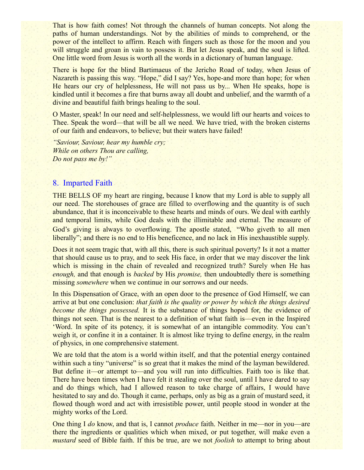That is how faith comes! Not through the channels of human concepts. Not along the paths of human understandings. Not by the abilities of minds to comprehend, or the power of the intellect to affirm. Reach with fingers such as those for the moon and you will struggle and groan in vain to possess it. But let Jesus speak, and the soul is lifted. One little word from Jesus is worth all the words in a dictionary of human language.

There is hope for the blind Bartimaeus of the Jericho Road of today, when Jesus of Nazareth is passing this way. "Hope," did I say? Yes, hope-and more than hope; for when He hears our cry of helplessness, He will not pass us by... When He speaks, hope is kindled until it becomes a fire that burns away all doubt and unbelief, and the warmth of a divine and beautiful faith brings healing to the soul.

O Master, speak! In our need and self-helplessness, we would lift our hearts and voices to Thee. Speak the word—that will be all we need. We have tried, with the broken cisterns of our faith and endeavors, to believe; but their waters have failed!

*"Saviour, Saviour, hear my humble cry; While on others Thou are calling, Do not pass me by!"*

## 8. Imparted Faith

THE BELLS OF my heart are ringing, because I know that my Lord is able to supply all our need. The storehouses of grace are filled to overflowing and the quantity is of such abundance, that it is inconceivable to these hearts and minds of ours. We deal with earthly and temporal limits, while God deals with the illimitable and eternal. The measure of God's giving is always to overflowing. The apostle stated, "Who giveth to all men liberally"; and there is no end to His beneficence, and no lack in His inexhaustible supply.

Does it not seem tragic that, with all this, there is such spiritual poverty? Is it not a matter that should cause us to pray, and to seek His face, in order that we may discover the link which is missing in the chain of revealed and recognized truth? Surely when He has *enough,* and that enough is *backed* by His *promise,* then undoubtedly there is something missing *somewhere* when we continue in our sorrows and our needs.

In this Dispensation of Grace, with an open door to the presence of God Himself, we can arrive at but one conclusion: *that faith is the quality or power by which the things desired become the things possessed.* It is the substance of things hoped for, the evidence of things not seen. That is the nearest to a definition of what faith is—even in the Inspired 'Word. In spite of its potency, it is somewhat of an intangible commodity. You can't weigh it, or confine it in a container. It is almost like trying to define energy, in the realm of physics, in one comprehensive statement.

We are told that the atom is a world within itself, and that the potential energy contained within such a tiny "universe" is so great that it makes the mind of the layman bewildered. But define it—or attempt to—and you will run into difficulties. Faith too is like that. There have been times when I have felt it stealing over the soul, until I have dared to say and do things which, had I allowed reason to take charge of affairs, I would have hesitated to say and do. Though it came, perhaps, only as big as a grain of mustard seed, it flowed though word and act with irresistible power, until people stood in wonder at the mighty works of the Lord.

One thing I *do* know, and that is, I cannot *produce* faith. Neither in me—nor in you—are there the ingredients or qualities which when mixed, or put together, will make even a *mustard* seed of Bible faith. If this be true, are we not *foolish* to attempt to bring about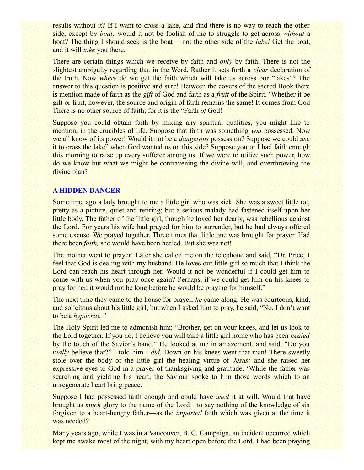results without it? If I want to cross a lake, and find there is no way to reach the other side, except by *boat;* would it not be foolish of me to struggle to get across *without* a boat? The thing I should seek is the boat— not the other side of the *lake!* Get the boat, and it will *take* you there.

There are certain things which we receive by faith and *only* by faith. There is not the slightest ambiguity regarding that in the Word. Rather it sets forth a *clear* declaration of the truth. Now *where* do we get the faith which will take us across our "lakes"? The answer to this question is positive and sure! Between the covers of the sacred Book there is mention made of faith as the *gift* of God and faith as a *fruit* of the Spirit. 'Whether it be gift or fruit, however, the source and origin of faith remains the same! It comes from God There is no other source of faith; for it is the "Faith *of* God!

Suppose you could obtain faith by mixing any spiritual qualities, you might like to mention, in the crucibles of life. Suppose that faith was something *you* possessed. Now we all know of its power! Would it not be a *dangerous* possession? Suppose we could *use* it to cross the lake" when God wanted us on this side? Suppose you or I had faith enough this morning to raise up every sufferer among us. If we were to utilize such power, how do we know but what we might be contravening the divine will, and overthrowing the divine plan?

### **A HIDDEN DANGER**

Some time ago a lady brought to me a little girl who was sick. She was a sweet little tot, pretty as a picture, quiet and retiring; but a serious malady had fastened itself upon her little body. The father of the little girl, though he loved her dearly, was rebellious against the Lord. For years his wife had prayed for him to surrender, but he had always offered some excuse. We prayed together. Three times that little one was brought for prayer. Had there been *faith,* she would have been healed. But she was not!

The mother went to prayer! Later she called me on the telephone and said, "Dr. Price, I feel that God is dealing with my husband. He loves our little girl so much that I think the Lord can reach his heart through her. Would it not be wonderful if I could get him to come with us when you pray once again? Perhaps, if we could get him on his knees to pray for her, it would not be long before he would be praying for himself."

The next time they came to the house for prayer, *he* came along. He was courteous, kind, and solicitous about his little girl; but when I asked him to pray, he said, "No, I don't want to be a *hypocrite."*

The Holy Spirit led me to admonish him: "Brother, get on your knees, and let us look to the Lord together. If you do, I believe you will take a little girl home who has been *healed* by the touch of the Savior's hand." He looked at me in amazement, and said, "Do you *really* believe that?" I told him I *did*. Down on his knees went that man! There sweetly stole over the body of the little girl the healing virtue of *Jesus;* and she raised her expressive eyes to God in a prayer of thanksgiving and gratitude. 'While the father was searching and yielding his heart, the Saviour spoke to him those words which to an unregenerate heart bring peace.

Suppose I had possessed faith enough and could have *used* it at will. Would that have brought as *much* glory to the name of the Lord—to say nothing of the knowledge of sin forgiven to a heart-hungry father—as the *imparted* faith which was given at the time it was needed?

Many years ago, while I was in a Vancouver, B. C. Campaign, an incident occurred which kept me awake most of the night, with my heart open before the Lord. I had been praying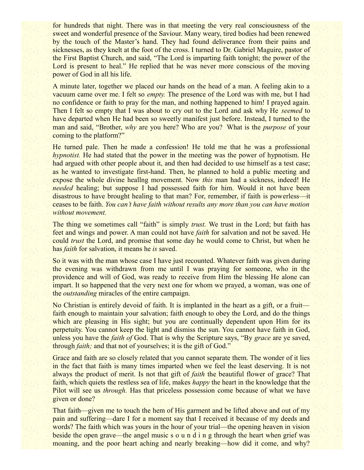for hundreds that night. There was in that meeting the very real consciousness of the sweet and wonderful presence of the Saviour. Many weary, tired bodies had been renewed by the touch of the Master's hand. They had found deliverance from their pains and sicknesses, as they knelt at the foot of the cross. I turned to Dr. Gabriel Maguire, pastor of the First Baptist Church, and said, "The Lord is imparting faith tonight; the power of the Lord is present to heal." He replied that he was never more conscious of the moving power of God in all his life.

A minute later, together we placed our hands on the head of a man. A feeling akin to a vacuum came over me. I felt so *empty.* The presence of the Lord was with me, but I had no confidence or faith to pray for the man, and nothing happened to him! I prayed again. Then I felt so empty that I was about to cry out to the Lord and ask why He *seemed* to have departed when He had been so sweetly manifest just before. Instead, I turned to the man and said, "Brother, *why* are you here? Who are you? What is the *purpose* of your coming to the platform?"

He turned pale. Then he made a confession! He told me that he was a professional *hypnotist.* He had stated that the power in the meeting was the power of hypnotism. He had argued with other people about it, and then had decided to use himself as a test case; as he wanted to investigate first-hand. Then, he planned to hold a public meeting and expose the whole divine heallng movement. Now *this* man had a sickness, indeed! He *needed* healing; but suppose I had possessed faith for him. Would it not have been disastrous to have brought healing to that man? For, remember, if faith is powerless—it ceases to be faith. *You can't have faith without results any more than you can have motion without movement.*

The thing we sometimes call "faith" is simply *trust.* We trust in the Lord; but faith has feet and wings and power. A man could not have *faith* for salvation and not be saved. He could *trust* the Lord, and promise that some day he would come to Christ, but when he has *faith* for salvation, it means he *is* saved.

So it was with the man whose case I have just recounted. Whatever faith was given during the evening was withdrawn from me until I was praying for someone, who in the providence and will of God, was ready to receive from Him the blessing He alone can impart. It so happened that the very next one for whom we prayed, a woman, was one of the *outstanding* miracles of the entire campaign.

No Christian is entirely devoid of faith. It is implanted in the heart as a gift, or a fruit faith enough to maintain your salvation; faith enough to obey the Lord, and do the things which are pleasing in His sight; but you are continually dependent upon Him for its perpetuity. You cannot keep the light and dismiss the sun. You cannot have faith in God, unless you have the *faith of* God. That is why the Scripture says, "By *grace* are ye saved, through *faith;* and that not of yourselves; it is the gift of God."

Grace and faith are so closely related that you cannot separate them. The wonder of it lies in the fact that faith is many times imparted when we feel the least deserving. It is not always the product of merit. Is not that gift of *faith* the beautiful flower of grace? That faith, which quiets the restless sea of life, makes *happy* the heart in the knowledge that the Pilot will see us *through.* Has that priceless possession come because of what we have given or done?

That faith—given me to touch the hem of His garment and be lifted above and out of my pain and suffering—dare I for a moment say that I received it because of my deeds and words? The faith which was yours in the hour of your trial—the opening heaven in vision beside the open grave—the angel music s o u n d i n g through the heart when grief was moaning, and the poor heart aching and nearly breaking—how did it come, and why?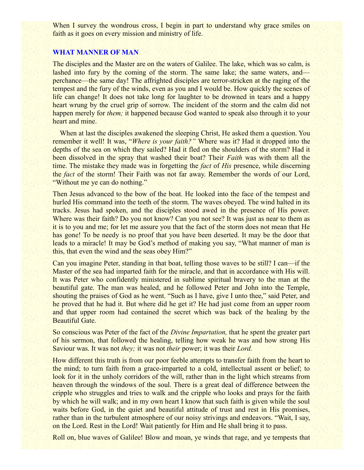When I survey the wondrous cross, I begin in part to understand why grace smiles on faith as it goes on every mission and ministry of life.

### **WHAT MANNER OF MAN**

The disciples and the Master are on the waters of Galilee. The lake, which was so calm, is lashed into fury by the coming of the storm. The same lake; the same waters, and perchance—the same day! The affrighted disciples are terror-stricken at the raging of the tempest and the fury of the winds, even as you and I would be. How quickly the scenes of life can change! It does not take long for laughter to be drowned in tears and a happy heart wrung by the cruel grip of sorrow. The incident of the storm and the calm did not happen merely for *them;* it happened because God wanted to speak also through it to your heart and mine.

 When at last the disciples awakened the sleeping Christ, He asked them a question. You remember it well! It was, "*Where is your faith?"* Where was it? Had it dropped into the depths of the sea on which they sailed? Had it fled on the shoulders of the storm? Had it been dissolved in the spray that washed their boat? Their *Faith* was with them all the time. The mistake they made was in forgetting the *fact* of *His* presence, while discerning the *fact* of the storm! Their Faith was not far away. Remember the words of our Lord, "Without me ye can do nothing."

Then Jesus advanced to the bow of the boat. He looked into the face of the tempest and hurled His command into the teeth of the storm. The waves obeyed. The wind halted in its tracks. Jesus had spoken, and the disciples stood awed in the presence of His power. Where was their faith? Do you not know? Can you not see? It was just as near to them as it is to you and me; for let me assure you that the fact of the storm does not mean that He has gone! To be needy is no proof that you have been deserted. It may be the door that leads to a miracle! It may be God's method of making you say, "What manner of man is this, that even the wind and the seas obey Him?"

Can you imagine Peter, standing in that boat, telling those waves to be still? I can—if the Master of the sea had imparted faith for the miracle, and that in accordance with His will. It was Peter who confidently ministered in sublime spiritual bravery to the man at the beautiful gate. The man was healed, and he followed Peter and John into the Temple, shouting the praises of God as he went. "Such as I have, give I unto thee," said Peter, and he proved that he had it. But where did he get it? He had just come from an upper room and that upper room had contained the secret which was back of the healing by the Beautiful Gate.

So conscious was Peter of the fact of the *Divine Impartation,* that he spent the greater part of his sermon, that followed the healing, telling how weak he was and how strong His Saviour was. It was not *they;* it was not *their* power; it was their *Lord.*

How different this truth is from our poor feeble attempts to transfer faith from the heart to the mind; to turn faith from a grace-imparted to a cold, intellectual assent or belief; to look for it in the unholy corridors of the will, rather than in the light which streams from heaven through the windows of the soul. There is a great deal of difference between the cripple who struggles and tries to walk and the cripple who looks and prays for the faith by which he will walk; and in my own heart I know that such faith is given while the soul waits before God, in the quiet and beautiful attitude of trust and rest in His promises, rather than in the turbulent atmosphere of our noisy strivings and endeavors. "Wait, I say, on the Lord. Rest in the Lord! Wait patiently for Him and He shall bring it to pass.

Roll on, blue waves of Galilee! Blow and moan, ye winds that rage, and ye tempests that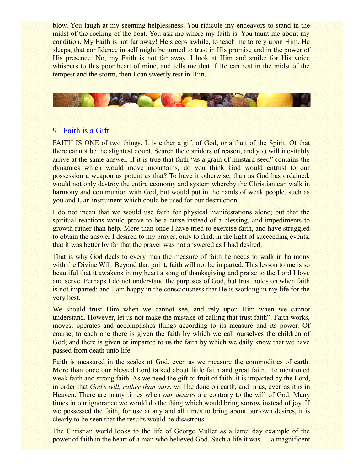blow. You laugh at my seeming helplessness. You ridicule my endeavors to stand in the midst of the rocking of the boat. You ask me where my faith is. You taunt me about my condition. My Faith is not far away! He sleeps awhile, to teach me to rely upon Him. He sleeps, that confidence in self might be turned to trust in His promise and in the power of His presence. No, my Faith is not far away. I look at Him and smile; for His voice whispers to this poor heart of mine, and tells me that if He can rest in the midst of the tempest and the storm, then I can sweetly rest in Him.



## 9. Faith is a Gift

FAITH IS ONE of two things. It is either a gift of God, or a fruit of the Spirit. Of that there cannot be the slightest doubt. Search the corridors of reason, and you will inevitably arrive at the same answer. If it is true that faith "as a grain of mustard seed" contains the dynamics which would move mountains, do you think God would entrust to our possession a weapon as potent as that? To have it otherwise, than as God has ordained, would not only destroy the entire economy and system whereby the Christian can walk in harmony and communion with God, but would put in the hands of weak people, such as you and I, an instrument which could be used for our destruction.

I do not mean that we would use faith for physical manifestations alone; but that the spiritual reactions would prove to be a curse instead of a blessing, and impediments to growth rather than help. More than once I have tried to exercise faith, and have struggled to obtain the answer I desired to my prayer; only to find, in the light of succeeding events, that it was better by far that the prayer was not answered as I had desired.

That is why God deals to every man the measure of faith he needs to walk in harmony with the Divine Will. Beyond that point, faith will not be imparted. This lesson to me is so beautiful that it awakens in my heart a song of thanksgiving and praise to the Lord I love and serve. Perhaps I do not understand the purposes of God, but trust holds on when faith is not imparted: and I am happy in the consciousness that He is working in my life for the very best.

We should trust Him when we cannot see, and rely upon Him when we cannot understand. However, let us not make the mistake of calling that trust faith". Faith works, moves, operates and accomplishes things according to its measure and its power. Of course, to each one there is given the faith by which we call ourselves the children of God; and there is given or imparted to us the faith by which we daily know that we have passed from death unto life.

Faith is measured in the scales of God, even as we measure the commodities of earth. More than once our blessed Lord talked about little faith and great faith. He mentioned weak faith and strong faith. As we need the gift or fruit of faith, it is imparted by the Lord, in order that *God's will, rather than ours,* will be done on earth, and in us, even as it is in Heaven. There are many times when *our desires* are contrary to the will of God. Many times in our ignorance we would do the thing which would bring sorrow instead of joy. If we possessed the faith, for use at any and all times to bring about our own desires, it is clearly to be seen that the results would be disastrous.

The Christian world looks to the life of George Muller as a latter day example of the power of faith in the heart of a man who believed God. Such a life it was — a magnificent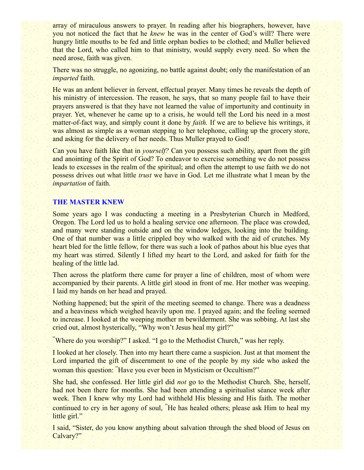array of miraculous answers to prayer. In reading after his biographers, however, have you not noticed the fact that he *knew* he was in the center of God's will? There were hungry little mouths to be fed and little orphan bodies to be clothed; and Muller believed that the Lord, who called him to that ministry, would supply every need. So when the need arose, faith was given.

There was no struggle, no agonizing, no battle against doubt; only the manifestation of an *imparted* faith.

He was an ardent believer in fervent, effectual prayer. Many times he reveals the depth of his ministry of intercession. The reason, he says, that so many people fail to have their prayers answered is that they have not learned the value of importunity and continuity in prayer. Yet, whenever he came up to a crisis, he would tell the Lord his need in a most matter-of-fact way, and simply count it done by *faith.* If we are to believe his writings, it was almost as simple as a woman stepping to her telephone, calling up the grocery store, and asking for the delivery of her needs. Thus Muller prayed to God!

Can you have faith like that in *yourself?* Can you possess such ability, apart from the gift and anointing of the Spirit of God? To endeavor to exercise something we do not possess leads to excesses in the realm of the spiritual; and often the attempt to use faith we do not possess drives out what little *trust* we have in God. Let me illustrate what I mean by the *impartation* of faith.

## **THE MASTER KNEW**

Some years ago I was conducting a meeting in a Presbyterian Church in Medford, Oregon. The Lord led us to hold a healing service one afternoon. The place was crowded, and many were standing outside and on the window ledges, looking into the building. One of that number was a little crippled boy who walked with the aid of crutches. My heart bled for the little fellow, for there was such a look of pathos about his blue eyes that my heart was stirred. Silently I lifted my heart to the Lord, and asked for faith for the healing of the little lad.

Then across the platform there came for prayer a line of children, most of whom were accompanied by their parents. A little girl stood in front of me. Her mother was weeping. I laid my hands on her head and prayed.

Nothing happened; but the spirit of the meeting seemed to change. There was a deadness and a heaviness which weighed heavily upon me. I prayed again; and the feeling seemed to increase. I looked at the weeping mother m bewilderment. She was sobbing. At last she cried out, almost hysterically, "Why won't Jesus heal my girl?"

"Where do you worship?" I asked. "I go to the Methodist Church," was her reply.

I looked at her closely. Then into my heart there came a suspicion. Just at that moment the Lord imparted the gift of discernment to one of the people by my side who asked the woman this question: "Have you ever been in Mysticism or Occultism?"

She had, she confessed. Her little girl did *not* go to the Methodist Church. She, herself, had not been there for months. She had been attending a spiritualist séance week after week. Then I knew why my Lord had withheld His blessing and His faith. The mother continued to cry in her agony of soul, "He has healed others; please ask Him to heal my little girl."

I said, "Sister, do you know anything about salvation through the shed blood of Jesus on Calvary?"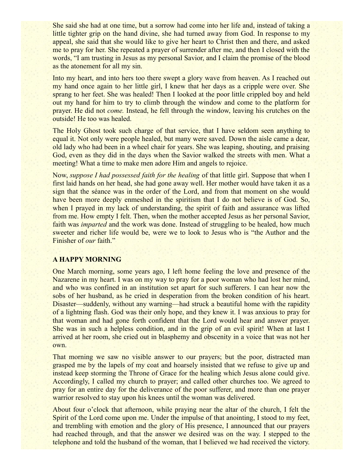She said she had at one time, but a sorrow had come into her life and, instead of taking a little tighter grip on the hand divine, she had turned away from God. In response to my appeal, she said that she would like to give her heart to Christ then and there, and asked me to pray for her. She repeated a prayer of surrender after me, and then I closed with the words, "I am trusting in Jesus as my personal Savior, and I claim the promise of the blood as the atonement for all my sin.

Into my heart, and into hers too there swept a glory wave from heaven. As I reached out my hand once again to her little girl, I knew that her days as a cripple were over. She sprang to her feet. She was healed! Then I looked at the poor little crippled boy and held out my hand for him to try to climb through the window and come to the platform for prayer. He did not *come.* Instead, he fell through the window, leaving his crutches on the outside! He too was healed.

The Holy Ghost took such charge of that service, that I have seldom seen anything to equal it. Not only were people healed, but many were saved. Down the aisle came a dear, old lady who had been in a wheel chair for years. She was leaping, shouting, and praising God, even as they did in the days when the Savior walked the streets with men. What a meeting! What a time to make men adore Him and angels to rejoice.

Now, *suppose I had possessed faith for the healing* of that little girl. Suppose that when I first laid hands on her head, she had gone away well. Her mother would have taken it as a sign that the séance was in the order of the Lord, and from that moment on she would have been more deeply enmeshed in the spiritism that I do not believe is of God. So, when I prayed in my lack of understanding, the spirit of faith and assurance was lifted from me. How empty I felt. Then, when the mother accepted Jesus as her personal Savior, faith was *imparted* and the work was done. Instead of struggling to be healed, how much sweeter and richer life would be, were we to look to Jesus who is "the Author and the Finisher of *our* faith."

## **A HAPPY MORNING**

One March morning, some years ago, I left home feeling the love and presence of the Nazarene in my heart. I was on my way to pray for a poor woman who had lost her mind, and who was confined in an institution set apart for such sufferers. I can hear now the sobs of her husband, as he cried in desperation from the broken condition of his heart. Disaster—suddenly, without any warning—had struck a beautiful home with the rapidity of a lightning flash. God was their only hope, and they knew it. I was anxious to pray for that woman and had gone forth confident that the Lord would hear and answer prayer. She was in such a helpless condition, and in the grip of an evil spirit! When at last I arrived at her room, she cried out in blasphemy and obscenity in a voice that was not her own.

That morning we saw no visible answer to our prayers; but the poor, distracted man grasped me by the lapels of my coat and hoarsely insisted that we refuse to give up and instead keep storming the Throne of Grace for the healing which Jesus alone could give. Accordingly, I called my church to prayer; and called other churches too. We agreed to pray for an entire day for the deliverance of the poor sufferer, and more than one prayer warrior resolved to stay upon his knees until the woman was delivered.

About four o'clock that afternoon, while praying near the altar of the church, I felt the Spirit of the Lord come upon me. Under the impulse of that anointing, I stood to my feet, and trembling with emotion and the glory of His presence, I announced that our prayers had reached through, and that the answer we desired was on the way. I stepped to the telephone and told the husband of the woman, that I believed we had received the victory.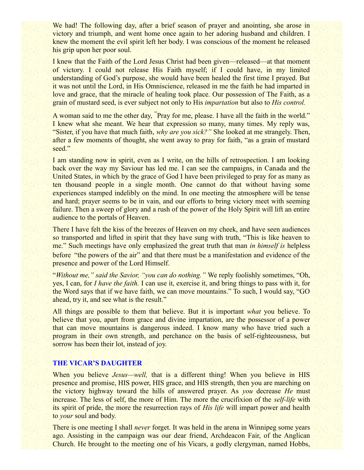We had! The following day, after a brief season of prayer and anointing, she arose in victory and triumph, and went home once again to her adoring husband and children. I knew the moment the evil spirit left her body. I was conscious of the moment he released his grip upon her poor soul.

I knew that the Faith of the Lord Jesus Christ had been given—released—at that moment of victory. I could not release His Faith myself; if I could have, in my limited understanding of God's purpose, she would have been healed the first time I prayed. But it was not until the Lord, in His Omniscience, released in me the faith he had imparted in love and grace, that the miracle of healing took place. Our possession of The Faith, as a grain of mustard seed, is ever subject not only to His *impartation* but also to *His control.*

A woman said to me the other day, "Pray for me, please. I have all the faith in the world." I knew what she meant. We hear that expression so many, many times. My reply was, "Sister, if you have that much faith, *why are you sick?"* She looked at me strangely. Then, after a few moments of thought, she went away to pray for faith, "as a grain of mustard seed."

I am standing now in spirit, even as I write, on the hills of retrospection. I am looking back over the way my Saviour has led me. I can see the campaigns, in Canada and the United States, in which by the grace of God I have been privileged to pray for as many as ten thousand people in a single month. One cannot do that without having some experiences stamped indelibly on the mind. In one meeting the atmosphere will be tense and hard; prayer seems to be in vain, and our efforts to bring victory meet with seeming failure. Then a sweep of glory and a rush of the power of the Holy Spirit will lift an entire audience to the portals of Heaven.

There I have felt the kiss of the breezes of Heaven on my cheek, and have seen audiences so transported and lifted in spirit that they have sung with truth, "This is like heaven to me." Such meetings have only emphasized the great truth that man *in himself is* helpless before "the powers of the air" and that there must be a manifestation and evidence of the presence and power of the Lord Himself.

"*Without me," said the Savior, "you can do nothing."* We reply foolishly sometimes, "Oh, yes, I can, for *I have the faith.* I can use it, exercise it, and bring things to pass with it, for the Word says that if we have faith, we can move mountains." To such, I would say, "GO ahead, try it, and see what is the result."

All things are possible to them that believe. But it is important *what* you believe. To believe that you, apart from grace and divine impartation, are the possessor of a power that can move mountains is dangerous indeed. I know many who have tried such a program in their own strength, and perchance on the basis of self-righteousness, but sorrow has been their lot, instead of joy.

### **THE VICAR'S DAUGHTER**

When you believe *Jesus—well*, that is a different thing! When you believe in HIS presence and promise, HIS power, HIS grace, and HIS strength, then you are marching on the victory highway toward the hills of answered prayer. As *you* decrease *He* must increase. The less of self, the more of Him. The more the crucifixion of the *self-life* with its spirit of pride, the more the resurrection rays of *His life* will impart power and health to *your* soul and body.

There is one meeting I shall *never* forget. It was held in the arena in Winnipeg some years ago. Assisting in the campaign was our dear friend, Archdeacon Fair, of the Anglican Church. He brought to the meeting one of his Vicars, a godly clergyman, named Hobbs,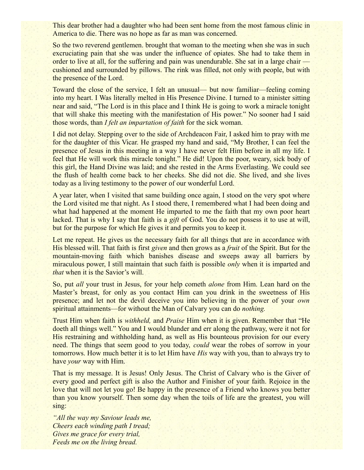This dear brother had a daughter who had been sent home from the most famous clinic in America to die. There was no hope as far as man was concerned.

So the two reverend gentlemen. brought that woman to the meeting when she was in such excruciating pain that she was under the influence of opiates. She had to take them in order to live at all, for the suffering and pain was unendurable. She sat in a large chair cushioned and surrounded by pillows. The rink was filled, not only with people, but with the presence of the Lord.

Toward the close of the service, I felt an unusual— but now familiar—feeling coming into my heart. I Was literally melted in His Presence Divine. I turned to a minister sitting near and said, "The Lord is in this place and I think He is going to work a miracle tonight that will shake this meeting with the manifestation of His power." No sooner had I said those words, than *I felt an impartation of faith* for the sick woman.

I did not delay. Stepping over to the side of Archdeacon Fair, I asked him to pray with me for the daughter of this Vicar. He grasped my hand and said, "My Brother, I can feel the presence of Jesus in this meeting in a way I have never felt Him before in all my life. I feel that He will work this miracle tonight." He did! Upon the poor, weary, sick body of this girl, the Hand Divine was laid; and she rested in the Arms Everlasting. We could see the flush of health come back to her cheeks. She did not die. She lived, and she lives today as a living testimony to the power of our wonderful Lord.

A year later, when I visited that same building once again, I stood on the very spot where the Lord visited me that night. As I stood there, I remembered what I had been doing and what had happened at the moment He imparted to me the faith that my own poor heart lacked. That is why I say that faith is a *gift* of God. You do not possess it to use at will, but for the purpose for which He gives it and permits you to keep it.

Let me repeat. He gives us the necessary faith for all things that are in accordance with His blessed will. That faith is first *given* and then grows as a *fruit* of the Spirit. But for the mountain-moving faith which banishes disease and sweeps away all barriers by miraculous power, I still maintain that such faith is possible *only* when it is imparted and *that* when it is the Savior's will.

So, put *all* your trust in Jesus, for your help cometh *alone* from Him. Lean hard on the Master's breast, for only as you contact Him can you drink in the sweetness of His presence; and let not the devil deceive you into believing in the power of your *own* spiritual attainments—for without the Man of Calvary you can do *nothing.*

Trust Him when faith is *withheld,* and *Praise* Him when it is given. Remember that "He doeth all things well." You and I would blunder and err along the pathway, were it not for His restraining and withholding hand, as well as His bounteous provision for our every need. The things that seem good to you today, *could* wear the robes of sorrow in your tomorrows. How much better it is to let Him have *His* way with you, than to always try to have *your* way with Him.

That is my message. It is Jesus! Only Jesus. The Christ of Calvary who is the Giver of every good and perfect gift is also the Author and Finisher of your faith. Rejoice in the love that will not let you go! Be happy in the presence of a Friend who knows you better than you know yourself. Then some day when the toils of life are the greatest, you will sing:

*"All the way my Saviour leads me, Cheers each winding path I tread; Gives me grace for every trial, Feeds me on the living bread.*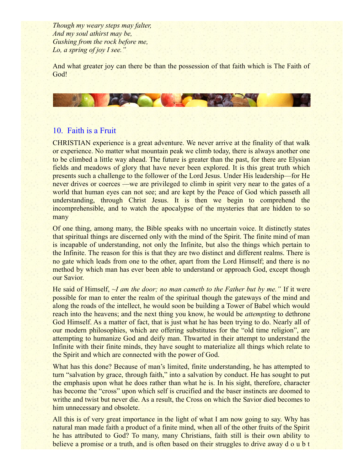*Though my weary steps may falter, And my soul athirst may be, Gushing from the rock before me, Lo, a spring of joy I see."*

And what greater joy can there be than the possession of that faith which is The Faith of God!



## 10. Faith is a Fruit

CHRISTIAN experience is a great adventure. We never arrive at the finality of that walk or experience. No matter what mountain peak we climb today, there is always another one to be climbed a little way ahead. The future is greater than the past, for there are Elysian fields and meadows of glory that have never been explored. It is this great truth which presents such a challenge to the follower of the Lord Jesus. Under His leadership—for He never drives or coerces —we are privileged to climb in spirit very near to the gates of a world that human eyes can not see; and are kept by the Peace of God which passeth all understanding, through Christ Jesus. It is then we begin to comprehend the incomprehensible, and to watch the apocalypse of the mysteries that are hidden to so many

Of one thing, among many, the Bible speaks with no uncertain voice. It distinctly states that spiritual things are discerned only with the mind of the Spirit. The finite mind of man is incapable of understanding, not only the Infinite, but also the things which pertain to the Infinite. The reason for this is that they are two distinct and different realms. There is no gate which leads from one to the other, apart from the Lord Himself; and there is no method by which man has ever been able to understand or approach God, except though our Savior.

He said of Himself, *~I am the door; no man cametb to the Father but by me."* If it were possible for man to enter the realm of the spiritual though the gateways of the mind and along the roads of the intellect, he would soon be building a Tower of Babel which would reach into the heavens; and the next thing you know, he would be *attempting* to dethrone God Himself. As a matter of fact, that is just what he has been trying to do. Nearly all of our modern philosophies, which are offering substitutes for the "old time religion", are attempting to humanize God and deify man. Thwarted in their attempt to understand the Infinite with their finite minds, they have sought to materialize all things which relate to the Spirit and which are connected with the power of God.

What has this done? Because of man's limited, finite understanding, he has attempted to turn "salvation by grace, through faith," into a salvation by conduct. He has sought to put the emphasis upon what he does rather than what he is. In his sight, therefore, character has become the "cross" upon which self is crucified and the baser instincts are doomed to writhe and twist but never die. As a result, the Cross on which the Savior died becomes to him unnecessary and obsolete.

All this is of very great importance in the light of what I am now going to say. Why has natural man made faith a product of a finite mind, when all of the other fruits of the Spirit he has attributed to God? To many, many Christians, faith still is their own ability to believe a promise or a truth, and is often based on their struggles to drive away d o u b t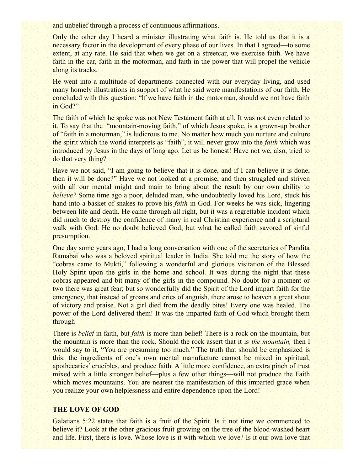and unbelief through a process of continuous affirmations.

Only the other day I heard a minister illustrating what faith is. He told us that it is a necessary factor in the development of every phase of our lives. In that I agreed—to some extent, at any rate. He said that when we get on a streetcar, we exercise faith. We have faith in the car, faith in the motorman, and faith in the power that will propel the vehicle along its tracks.

He went into a multitude of departments connected with our everyday living, and used many homely illustrations in support of what he said were manifestations of our faith. He concluded with this question: "lf we have faith in the motorman, should we not have faith in God?"

The faith of which he spoke was not New Testament faith at all. It was not even related to it. To say that the "mountain-moving faith," of which Jesus spoke, is a grown-up brother of "faith in a motorman," is ludicrous to me. No matter how much you nurture and culture the spirit which the world interprets as "faith", it will never grow into the *faith* which was introduced by Jesus in the days of long ago. Let us be honest! Have not we, also, tried to do that very thing?

Have we not said, "I am going to believe that it is done, and if I can believe it is done, then it will be done?" Have we not looked at a promise, and then struggled and striven with all our mental might and main to bring about the result by our own ability to *believe?* Some time ago a poor, deluded man, who undoubtedly loved his Lord, stuck his hand into a basket of snakes to prove his *faith* in God. For weeks he was sick, lingering between life and death. He came through all right, but it was a regrettable incident which did much to destroy the confidence of many in real Christian experience and a scriptural walk with God. He no doubt believed God; but what he called faith savored of sinful presumption.

One day some years ago, I had a long conversation with one of the secretaries of Pandita Ramabai who was a beloved spiritual leader in India. She told me the story of how the "cobras came to Mukti," following a wonderful and glorious visitation of the Blessed Holy Spirit upon the girls in the home and school. It was during the night that these cobras appeared and bit many of the girls in the compound. No doubt for a moment or two there was great fear; but so wonderfully did the Spirit of the Lord impart faith for the emergency, that instead of groans and cries of anguish, there arose to heaven a great shout of victory and praise. Not a girl died from the deadly bites! Every one was healed. The power of the Lord delivered them! It was the imparted faith of God which brought them through

There is *belief* in faith, but *faith* is more than belief! There is a rock on the mountain, but the mountain is more than the rock. Should the rock assert that it is *the mountain,* then I would say to it, "You are presuming too much." The truth that should be emphasized is this: the ingredients of one's own mental manufacture cannot be mixed in spiritual, apothecaries' crucibles, and produce faith. A little more confidence, an extra pinch of trust mixed with a little stronger belief—plus a few other things—will not produce the Faith which moves mountains. You are nearest the manifestation of this imparted grace when you realize your own helplessness and entire dependence upon the Lord!

### **THE LOVE OF GOD**

Galatians 5:22 states that faith is a fruit of the Spirit. Is it not time we commenced to believe it? Look at the other gracious fruit growing on the tree of the blood-washed heart and life. First, there is love. Whose love is it with which we love? Is it our own love that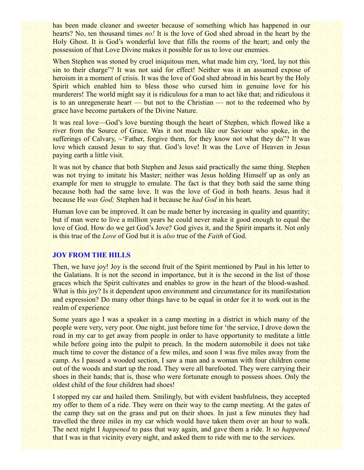has been made cleaner and sweeter because of something which has happened in our hearts? No, ten thousand times *no!* It is the love of God shed abroad in the heart by the Holy Ghost. It is God's wonderful love that fills the rooms of the heart; and only the possession of that Love Divine makes it possible for us to love our enemies.

When Stephen was stoned by cruel iniquitous men, what made him cry, 'lord, lay not this sin to their charge"? It was not said for effect! Neither was it an assumed expose of heroism in a moment of crisis. It was the love of God shed abroad in his heart by the Holy Spirit which enabled him to bless those who cursed him in genuine love for his murderers! The world might say it is ridiculous for a man to act like that; and ridiculous it is to an unregenerate heart — but not to the Christian — not to the redeemed who by grace have become partakers of the Divine Nature.

It was real love—God's love bursting though the heart of Stephen, which flowed like a river from the Source of Grace. Was it not much like our Saviour who spoke, in the sufferings of Calvary,  $\sim$  Father, forgive them, for they know not what they do"? It was love which caused Jesus to say that. God's love! It was the Love of Heaven in Jesus paying earth a little visit.

It was not by chance that both Stephen and Jesus said practically the same thing. Stephen was not trying to imitate his Master; neither was Jesus holding Himself up as only an example for men to struggle to emulate. The fact is that they both said the same thing because both had the same love. It was the love of God in both hearts. Jesus had it because He *was God;* Stephen had it because he *had God* in his heart.

Human love can be improved. It can be made better by increasing in quality and quantity; but if man were to live a million years he could never make it good enough to equal the love of God. How do we get God's Jove? God gives it, and the Spirit imparts it. Not only is this true of the *Love* of God but it is *also* true of the *Faith* of God.

### **JOY FROM THE HILLS**

Then, we have joy! Joy is the second fruit of the Spirit mentioned by Paul in his letter to the Galatians. It is not the second in importance, but it is the second in the list of those graces which the Spirit cultivates and enables to grow in the heart of the blood-washed. What is this joy? Is it dependent upon environment and circumstance for its manifestation and expression? Do many other things have to be equal in order for it to work out in the realm of experience

Some years ago I was a speaker in a camp meeting in a district in which many of the people were very, very poor. One night, just before time for 'the service, I drove down the road in my car to get away from people in order to have opportunity to meditate a little while before going into the pulpit to preach. In the modern automobile it does not take much time to cover the distance of a few miles, and soon I was five miles away from the camp. As I passed a wooded section, I saw a man and a woman with four children come out of the woods and start up the road. They were all barefooted. They were carrying their shoes in their hands; that is, those who were fortunate enough to possess shoes. Only the oldest child of the four children had shoes!

I stopped my car and hailed them. Smilingly, but with evident bashfulness, they accepted my offer to them of a ride. They were on their way to the camp meeting. At the gates of the camp they sat on the grass and put on their shoes. In just a few minutes they had travelled the three miles in my car which would have taken them over an hour to walk. The next night I *happened* to pass that way again, and gave them a ride. It so *happened* that I was in that vicinity every night, and asked them to ride with me to the services.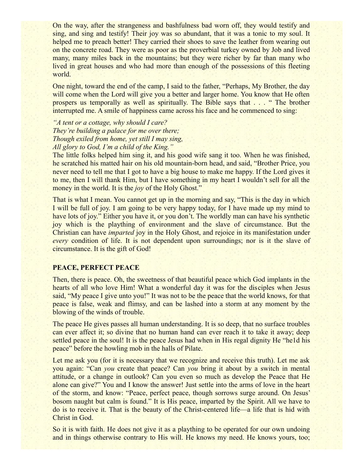On the way, after the strangeness and bashfulness bad worn off, they would testify and sing, and sing and testify! Their joy was so abundant, that it was a tonic to my soul. It helped me to preach better! They carried their shoes to save the leather from wearing out on the concrete road. They were as poor as the proverbial turkey owned by Job and lived many, many miles back in the mountains; but they were richer by far than many who lived in great houses and who had more than enough of the possessions of this fleeting world.

One night, toward the end of the camp, I said to the father, "Perhaps, My Brother, the day will come when the Lord will give you a better and larger home. You know that He often prospers us temporally as well as spiritually. The Bible says that . . . " The brother interrupted me. A smile of happiness came across his face and he commenced to sing:

*"A tent or a cottage, why should I care? They're building a palace for me over there; Though exiled from home, yet still I may sing, All glory to God, I'm a child of the King."*

The little folks helped him sing it, and his good wife sang it too. When he was finished, he scratched his matted hair on his old mountain-born head, and said, "Brother Price, you never need to tell me that I got to have a big house to make me happy. If the Lord gives it to me, then I will thank Him, but I have something in my heart I wouldn't sell for all the money in the world. It is the *joy* of the Holy Ghost."

That is what I mean. You cannot get up in the morning and say, "This is the day in which I will be full of joy. I am going to be very happy today, for I have made up my mind to have lots of joy." Either you have it, or you don't. The worldly man can have his synthetic joy which is the plaything of environment and the slave of circumstance. But the Christian can have *imparted* joy in the Holy Ghost, and rejoice in its manifestation under *every* condition of life. It is not dependent upon surroundings; nor is it the slave of circumstance. It is the gift of God!

### **PEACE, PERFECT PEACE**

Then, there is peace. Oh, the sweetness of that beautiful peace which God implants in the hearts of all who love Him! What a wonderful day it was for the disciples when Jesus said, "My peace I give unto you!" It was not to be the peace that the world knows, for that peace is false, weak and flimsy, and can be lashed into a storm at any moment by the blowing of the winds of trouble.

The peace He gives passes all human understanding. It is so deep, that no surface troubles can ever affect it; so divine that no human hand can ever reach it to take it away; deep settled peace in the soul! It is the peace Jesus had when in His regal dignity He "held his peace" before the howling mob in the halls of Pilate.

Let me ask you (for it is necessary that we recognize and receive this truth). Let me ask you again: "Can *you* create that peace? Can *you* bring it about by a switch in mental attitude, or a change in outlook? Can you even so much as develop the Peace that He alone can give?" You and I know the answer! Just settle into the arms of love in the heart of the storm, and know: "Peace, perfect peace, though sorrows surge around. On Jesus' bosom naught but calm is found." It is His peace, imparted by the Spirit. All we have to do is to receive it. That is the beauty of the Christ-centered life—a life that is hid with Christ in God.

So it is with faith. He does not give it as a plaything to be operated for our own undoing and in things otherwise contrary to His will. He knows my need. He knows yours, too;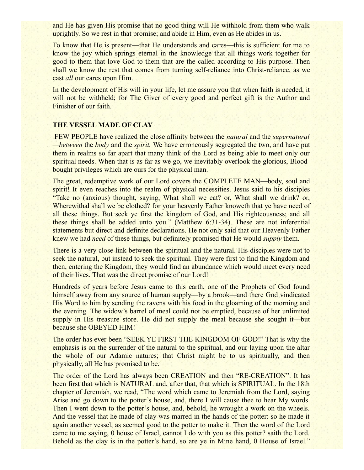and He has given His promise that no good thing will He withhold from them who walk uprightly. So we rest in that promise; and abide in Him, even as He abides in us.

To know that He is present—that He understands and cares—this is sufficient for me to know the joy which springs eternal in the knowledge that all things work together for good to them that love God to them that are the called according to His purpose. Then shall we know the rest that comes from turning self-reliance into Christ-reliance, as we cast *all* our cares upon Him.

In the development of His will in your life, let me assure you that when faith is needed, it will not be withheld; for The Giver of every good and perfect gift is the Author and Finisher of our faith.

### **THE VESSEL MADE OF CLAY**

FEW PEOPLE have realized the close affinity between the *natural* and the *supernatural —between* the *body* and the *spirit.* We have erroneously segregated the two, and have put them in realms so far apart that many think of the Lord as being able to meet only our spiritual needs. When that is as far as we go, we inevitably overlook the glorious, Bloodbought privileges which are ours for the physical man.

The great, redemptive work of our Lord covers the COMPLETE MAN—body, soul and spirit! It even reaches into the realm of physical necessities. Jesus said to his disciples "Take no (anxious) thought, saying, What shall we eat? or, What shall we drink? or, Wherewithal shall we be clothed? for your heavenly Father knoweth that ye have need of all these things. But seek ye first the kingdom of God, and His righteousness; and all these things shall be added unto you." (Matthew 6:31-34). These are not inferential statements but direct and definite declarations. He not only said that our Heavenly Father knew we had *need* of these things, but definitely promised that He would *supply* them.

There is a very close link between the spiritual and the natural. His disciples were not to seek the natural, but instead to seek the spiritual. They were first to find the Kingdom and then, entering the Kingdom, they would find an abundance which would meet every need of their lives. That was the direct promise of our Lord!

Hundreds of years before Jesus came to this earth, one of the Prophets of God found himself away from any source of human supply—by a brook—and there God vindicated His Word to him by sending the ravens with his food in the gloaming of the morning and the evening. The widow's barrel of meal could not be emptied, because of her unlimited supply in His treasure store. He did not supply the meal because she sought it—but because she OBEYED HIM!

The order has ever been "SEEK YE FIRST THE KINGDOM OF GOD!" That is why the emphasis is on the surrender of the natural to the spiritual, and our laying upon the altar the whole of our Adamic natures; that Christ might be to us spiritually, and then physically, all He has promised to be.

The order of the Lord has always been CREATION and then "RE-CREATION". It has been first that which is NATURAL and, after that, that which is SPIRITUAL. In the 18th chapter of Jeremiah, we read, "The word which came to Jeremiah from the Lord, saying Arise and go down to the potter's house, and, there I will cause thee to hear My words. Then I went down to the potter's house, and, behold, he wrought a work on the wheels. And the vessel that he made of clay was marred in the hands of the potter: so he made it again another vessel, as seemed good to the potter to make it. Then the word of the Lord came to me saying, 0 house of Israel, cannot I do with you as this potter? saith the Lord. Behold as the clay is in the potter's hand, so are ye in Mine hand, 0 House of Israel."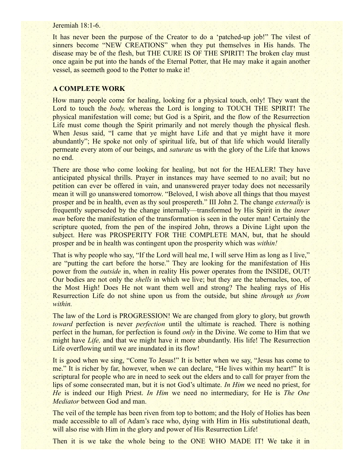Jeremiah 18:1-6.

It has never been the purpose of the Creator to do a 'patched-up job!" The vilest of sinners become "NEW CREATIONS" when they put themselves in His hands. The disease may be of the flesh, but THE CURE IS OF THE SPIRIT! The broken clay must once again be put into the hands of the Eternal Potter, that He may make it again another vessel, as seemeth good to the Potter to make it!

## **A COMPLETE WORK**

How many people come for healing, looking for a physical touch, only! They want the Lord to touch the *body*, whereas the Lord is longing to TOUCH THE SPIRIT! The physical manifestation will come; but God is a Spirit, and the flow of the Resurrection Life must come though the Spirit primarily and not merely though the physical flesh. When Jesus said, "I came that ye might have Life and that ye might have it more abundantly"; He spoke not only of spiritual life, but of that life which would literally permeate every atom of our beings, and *saturate* us with the glory of the Life that knows no end.

There are those who come looking for healing, but not for the HEALER! They have anticipated physical thrills. Prayer in instances may have seemed to no avail; but no petition can ever be offered in vain, and unanswered prayer today does not necessarily mean it will go unanswered tomorrow. "Beloved, I wish above all things that thou mayest prosper and be in health, even as thy soul prospereth." III John 2. The change *externally* is frequently superseded by the change internally—transformed by His Spirit in the *inner man* before the manifestation of the transformation is seen in the outer man! Certainly the scripture quoted, from the pen of the inspired John, throws a Divine Light upon the subject. Here was PROSPERITY FOR THE COMPLETE MAN, but, that he should prosper and be in health was contingent upon the prosperity which was *within!*

That is why people who say, "If the Lord will heal me, I will serve Him as long as I live," are "putting the cart before the horse." They are looking for the manifestation of His power from the *outside* in, when in reality His power operates from the INSIDE, OUT! Our bodies are not only the *shells* in which we live; but they are the tabernacles, too, of the Most High! Does He not want them well and strong? The healing rays of His Resurrection Life do not shine upon us from the outside, but shine *through us from within.*

The law of the Lord is PROGRESSION! We are changed from glory to glory, but growth *toward* perfection is never *perfection* until the ultimate is reached. There is nothing perfect in the human, for perfection is found *only* in the Divine. We come to Him that we might have *Life,* and that we might have it more abundantly. His life! The Resurrection Life overflowing until we are inundated in its flow!

It is good when we sing, "Come To Jesus!" It is better when we say, "Jesus has come to me." It is richer by far, however, when we can declare, "He lives within my heart!" It is scriptural for people who are in need to seek out the elders and to call for prayer from the lips of some consecrated man, but it is not God's ultimate. *In Him* we need no priest, for *He* is indeed our High Priest. *In Him* we need no intermediary, for He is *The One Mediator* between God and man.

The veil of the temple has been riven from top to bottom; and the Holy of Holies has been made accessible to all of Adam's race who, dying with Him in His substitutional death, will also rise with Him in the glory and power of His Resurrection Life!

Then it is we take the whole being to the ONE WHO MADE IT! We take it in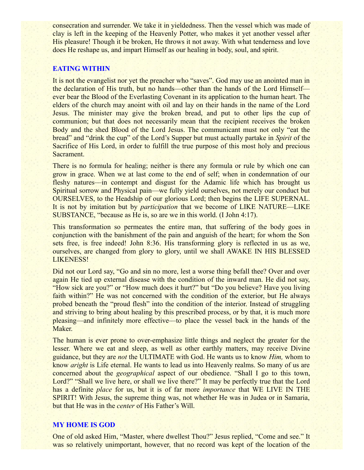consecration and surrender. We take it in yieldedness. Then the vessel which was made of clay is left in the keeping of the Heavenly Potter, who makes it yet another vessel after His pleasure! Though it be broken, He throws it not away. With what tenderness and love does He reshape us, and impart Himself as our healing in body, soul, and spirit.

### **EATING WITHIN**

It is not the evangelist nor yet the preacher who "saves". God may use an anointed man in the declaration of His truth, but no hands—other than the hands of the Lord Himself ever bear the Blood of the Everlasting Covenant in its application to the human heart. The elders of the church may anoint with oil and lay on their hands in the name of the Lord Jesus. The minister may give the broken bread, and put to other lips the cup of communion; but that does not necessarily mean that the recipient receives the broken Body and the shed Blood of the Lord Jesus. The communicant must not only "eat the bread" and "drink the cup" of the Lord's Supper but must actually partake in *Spirit* of the Sacrifice of His Lord, in order to fulfill the true purpose of this most holy and precious Sacrament.

There is no formula for healing; neither is there any formula or rule by which one can grow in grace. When we at last come to the end of self; when in condemnation of our fleshy natures—in contempt and disgust for the Adamic life which has brought us Spiritual sorrow and Physical pain—we fully yield ourselves, not merely our conduct but OURSELVES, to the Headship of our glorious Lord; then begins the LIFE SUPERNAL. It is not by imitation but by *participation* that we become of LIKE NATURE—LIKE SUBSTANCE, "because as He is, so are we in this world. (I John 4:17).

This transformation so permeates the entire man, that suffering of the body goes in conjunction with the banishment of the pain and anguish of the heart; for whom the Son sets free, is free indeed! John 8:36. His transforming glory is reflected in us as we, ourselves, are changed from glory to glory, until we shall AWAKE IN HIS BLESSED LIKENESS!

Did not our Lord say, "Go and sin no more, lest a worse thing befall thee? Over and over again He tied up external disease with the condition of the inward man. He did not say, "How sick are you?" or "How much does it hurt?" but "Do you believe? Have you living faith within?" He was not concerned with the condition of the exterior, but He always probed beneath the "proud flesh" into the condition of the interior. Instead of struggling and striving to bring about healing by this prescribed process, or by that, it is much more pleasing—and infinitely more effective—to place the vessel back in the hands of the Maker.

The human is ever prone to over-emphasize little things and neglect the greater for the lesser. Where we eat and sleep, as well as other earthly matters, may receive Divine guidance, but they are *not* the ULTIMATE with God. He wants us to know *Him,* whom to know *aright* is Life eternal. He wants to lead us into Heavenly realms. So many of us are concerned about the *geographical* aspect of our obedience. "Shall I go to this town, Lord?" "Shall we live here, or shall we live there?" It may be perfectly true that the Lord has a definite *place* for us, but it is of far more *importance* that WE LIVE IN THE SPIRIT! With Jesus, the supreme thing was, not whether He was in Judea or in Samaria, but that He was in the *center* of His Father's Will.

### **MY HOME IS GOD**

One of old asked Him, "Master, where dwellest Thou?" Jesus replied, "Come and see." It was so relatively unimportant, however, that no record was kept of the location of the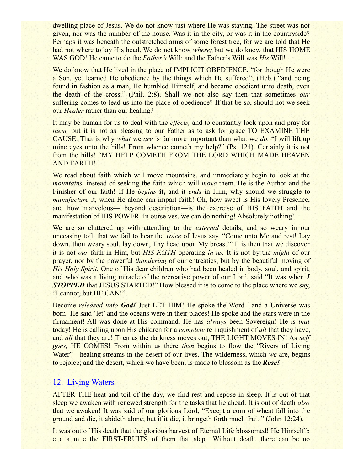dwelling place of Jesus. We do not know just where He was staying. The street was not given, nor was the number of the house. Was it in the city, or was it in the countryside? Perhaps it was beneath the outstretched arms of some forest tree, for we are told that He had not where to lay His head. We do not know *where;* but we do know that HIS HOME WAS GOD! He came to do the *Father's* Will; and the Father's Will was *His* Will!

We do know that He lived in the place of IMPLICIT OBEDIENCE, "for though He were a Son, yet learned He obedience by the things which He suffered"; (Heb.) "and being found in fashion as a man, He humbled Himself, and became obedient unto death, even the death of the cross." (Phil. 2:8). Shall we not also say then that sometimes *our* suffering comes to lead us into the place of obedience? If that be so, should not we seek our *Healer* rather than our healing?

It may be human for us to deal with the *effects,* and to constantly look upon and pray for *them*, but it is not as pleasing to our Father as to ask for grace TO EXAMINE THE CAUSE. That is why *what* we *are* is far more important than what we *do.* "I will lift up mine eyes unto the hills! From whence cometh my help?" (Ps. 121). Certainly it is not from the hills! "MY HELP COMETH FROM THE LORD WHICH MADE HEAVEN AND EARTH!

We read about faith which will move mountains, and immediately begin to look at the *mountains,* instead of seeking the faith which will *move* them. He is the Author and the Finisher of our faith! If He *begins* **it,** and it *ends* in Him, why should we struggle to *manufacture* it, when He alone can impart faith! Oh, how sweet is His lovely Presence, and how marvelous— beyond description—is the exercise of HIS FAITH and the manifestation of HIS POWER. In ourselves, we can do nothing! Absolutely nothing!

We are so cluttered up with attending to the *external* details, and so weary in our unceasing toil, that we fail to hear the *voice* of Jesus say, "Come unto Me and rest! Lay down, thou weary soul, lay down, Thy head upon My breast!" It is then that we discover it is not *our* faith in Him, but *HIS FAITH* operating *in us.* It is not by the *might* of our prayer, nor by the powerful *thundering* of our entreaties, but by the beautiful moving of *His Holy Spirit.* One of His dear children who had been healed in body, soul, and spirit, and who was a living miracle of the recreative power of our Lord, said "It was when *I* **STOPPED** that JESUS STARTED!" How blessed it is to come to the place where we say, "I cannot, but HE CAN!"

Become *released unto God!* Just LET HIM! He spoke the Word—and a Universe was born! He said 'let' and the oceans were in their places! He spoke and the stars were in the firmament! All was done at His command. He has *always* been Sovereign! He is *that* today! He is calling upon His children for a *complete* relinquishment of *all* that they have, and *all* that they are! Then as the darkness moves out, THE LIGHT MOVES IN! As *self goes,* HE COMES! From within us there *then* begins to flow the "Rivers of Living Water"—healing streams in the desert of our lives. The wilderness, which *we* are, begins to rejoice; and the desert, which we have been, is made to blossom as the *Rose!*

## 12. Living Waters

AFTER THE heat and toil of the day, we find rest and repose in sleep. It is out of that sleep we awaken with renewed strength for the tasks that lie ahead. It is out of death *also* that we awaken! It was said of our glorious Lord, "Except a corn of wheat fall into the ground and die, it abideth alone; but if **it** die, it bringeth forth much fruit." (John 12:24).

It was out of His death that the glorious harvest of Eternal Life blossomed! He Himself b e c a m e the FIRST-FRUITS of them that slept. Without death, there can be no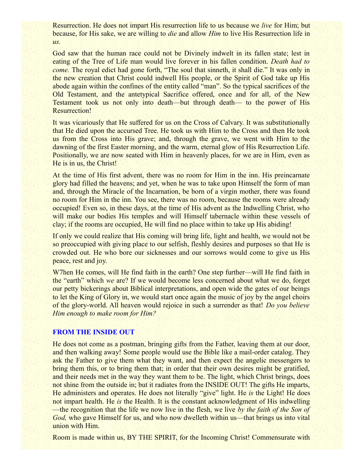Resurrection. He does not impart His resurrection life to us because we *live* for Him; but because, for His sake, we are willing to *die* and allow *Him* to live His Resurrection life in *us.*

God saw that the human race could not be Divinely indwelt in its fallen state; lest in eating of the Tree of Life man would live forever in his fallen condition. *Death had to come.* The royal edict had gone forth, "The soul that sinneth, it shall die." It was only in the new creation that Christ could indwell His people, or the Spirit of God take up His abode again within the confines of the entity called "man". So the typical sacrifices of the Old Testament, and the antetypical Sacrifice offered, once and for all, of the New Testament took us not only into death—but through death— to the power of His Resurrection!

It was vicariously that He suffered for us on the Cross of Calvary. It was substitutionally that He died upon the accursed Tree. He took us with Him to the Cross and then He took us from the Cross into His grave; and, through the grave, we went with Him to the dawning of the first Easter morning, and the warm, eternal glow of His Resurrection Life. Positionally, we are now seated with Him in heavenly places, for we are in Him, even as He is in us, the Christ!

At the time of His first advent, there was no room for Him in the inn. His preincarnate glory had filled the heavens; and yet, when he was to take upon Himself the form of man and, through the Miracle of the Incarnation, be born of a virgin mother, there was found no room for Him in the inn. You see, there was no room, because the rooms were already occupied! Even so, in these days, at the time of His advent as the Indwelling Christ, who will make our bodies His temples and will Himself tabernacle within these vessels of clay; if the rooms are occupied, He will find no place within to take up His abiding!

If only we could realize that His coming will bring life, light and health, we would not be so preoccupied with giving place to our selfish, fleshly desires and purposes so that He is crowded out. He who bore our sicknesses and our sorrows would come to give us His peace, rest and joy.

W7hen He comes, will He find faith in the earth? One step further—will He find faith in the "earth" which *we* are? If we would become less concerned about what we do, forget our petty bickerings about Biblical interpretations, and open wide the gates of our beings to let the King of Glory in, we would start once again the music of joy by the angel choirs of the glory-world. All heaven would rejoice in such a surrender as that! *Do you believe Him enough to make room for Him?*

### **FROM THE INSIDE OUT**

He does not come as a postman, bringing gifts from the Father, leaving them at our door, and then walking away! Some people would use the Bible like a mail-order catalog. They ask the Father to give them what they want, and then expect the angelic messengers to bring them this, or to bring them that; in order that their own desires might be gratified, and their needs met in the way they want them to be. The light, which Christ brings, does not shine from the outside in; but it radiates from the INSIDE OUT! The gifts He imparts, He administers and operates. He does not literally "give" light. He *is* the Light! He does not impart health. He *is* the Health. It is the constant acknowledgment of His indwelling —the recognition that the life we now live in the flesh, we live *by the faith of the Son of God,* who gave Himself for us, and who now dwelleth within us—that brings us into vital union with Him.

Room is made within us, BY THE SPIRIT, for the Incoming Christ! Commensurate with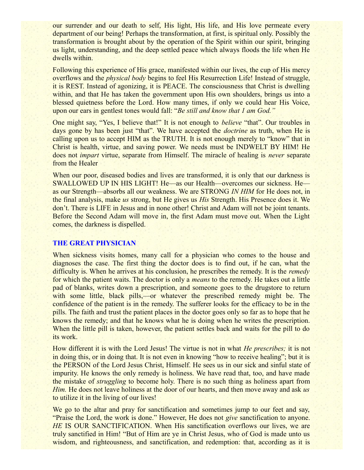our surrender and our death to self, His light, His life, and His love permeate every department of our being! Perhaps the transformation, at first, is spiritual only. Possibly the transformation is brought about by the operation of the Spirit within our spirit, bringing us light, understanding, and the deep settled peace which always floods the life when He dwells within.

Following this experience of His grace, manifested within our lives, the cup of His mercy overflows and the *physical body* begins to feel His Resurrection Life! Instead of struggle, it is REST. Instead of agonizing, it is PEACE. The consciousness that Christ is dwelling within, and that He has taken the government upon His own shoulders, brings us into a blessed quietness before the Lord. How many times, if only we could hear His Voice, upon our ears in gentlest tones would fall: "*Be still and know that 1 am God."*

One might say, "Yes, I believe that!" It is not enough to *believe* "that". Our troubles in days gone by has been just "that". We have accepted the *doctrine* as truth, when He is calling upon us to accept HIM as the TRUTH. It is not enough merely to "know" that in Christ is health, virtue, and saving power. We needs must be INDWELT BY HIM! He does not *impart* virtue, separate from Himself. The miracle of healing is *never* separate from the Healer

When our poor, diseased bodies and lives are transformed, it is only that our darkness is SWALLOWED UP IN HIS LIGHT! He—as our Health—overcomes our sickness. He as our Strength—absorbs all our weakness. We are STRONG *IN HIM* for He does not, in the final analysis, make *us* strong, but He gives us *His* Strength. His Presence does it. We don't. There is LIFE in Jesus and in none other! Christ and Adam will not be joint tenants. Before the Second Adam will move in, the first Adam must move out. When the Light comes, the darkness is dispelled.

### **THE GREAT PHYSICIAN**

When sickness visits homes, many call for a physician who comes to the house and diagnoses the case. The first thing the doctor does is to find out, if he can, what the difficulty is. When he arrives at his conclusion, he prescribes the remedy. It is the *remedy* for which the patient waits. The doctor is only a *means* to the remedy. He takes out a little pad of blanks, writes down a prescription, and someone goes to the drugstore to return with some little, black pills,—or whatever the prescribed remedy might be. The confidence of the patient is in the remedy. The sufferer looks for the efficacy to be in the pills. The faith and trust the patient places in the doctor goes only so far as to hope that he knows the remedy; and that he knows what he is doing when he writes the prescription. When the little pill is taken, however, the patient settles back and waits for the pill to do its work.

How different it is with the Lord Jesus! The virtue is not in what *He prescribes;* it is not in doing this, or in doing that. It is not even in knowing "how to receive healing"; but it is the PERSON of the Lord Jesus Christ, Himself. He sees us in our sick and sinful state of impurity. He knows the only remedy is holiness. We have read that, too, and have made the mistake of *struggling* to become holy. There is no such thing as holiness apart from *Him.* He does not leave holiness at the door of our hearts, and then move away and ask *us* to utilize it in the living of our lives!

We go to the altar and pray for sanctification and sometimes jump to our feet and say, "Praise the Lord, the work is done." However, He does not *give* sanctification to anyone. *HE* IS OUR SANCTIFICATION. When His sanctification overflows our lives, we are truly sanctified in Him! "But of Him are ye in Christ Jesus, who of God is made unto us wisdom, and righteousness, and sanctification, and redemption: that, according as it is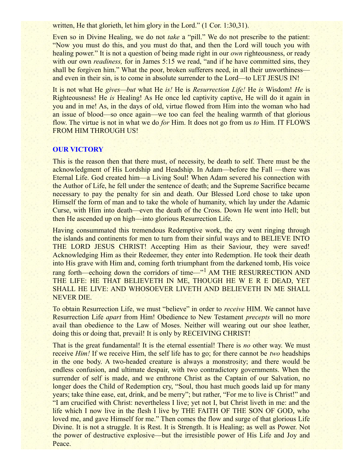written, He that glorieth, let him glory in the Lord." (1 Cor. 1:30,31).

Even so in Divine Healing, we do not *take* a "pill." We do not prescribe to the patient: "Now you must do this, and you must do that, and then the Lord will touch you with healing power." It is not a question of being made right in our *own* righteousness, or ready with our own *readiness*, for in James 5:15 we read, "and if he have committed sins, they shall be forgiven him." What the poor, broken sufferers need, in all their unworthiness and even in their sin, is to come in absolute surrender to the Lord—to LET JESUS IN!

It is not what He *gives—but* what He *is!* He is *Resurrection Life!* He *is* Wisdom! *He* is Righteousness! He *is* Healing! As He once led captivity captive, He will do it again in you and in me! As, in the days of old, virtue flowed from Him into the woman who had an issue of blood—so once again—we too can feel the healing warmth of that glorious flow. The virtue is not in what we do *for* Him. It does not go from us *to* Him. IT FLOWS FROM HIM THROUGH US!

#### **OUR VICTORY**

This is the reason then that there must, of necessity, be death to self. There must be the acknowledgment of His Lordship and Headship. In Adam—before the Fall —there was Eternal Life. God created him—a Living Soul! When Adam severed his connection with the Author of Life, he fell under the sentence of death; and the Supreme Sacrifice became necessary to pay the penalty for sin and death. Our Blessed Lord chose to take upon Himself the form of man and to take the whole of humanity, which lay under the Adamic Curse, with Him into death—even the death of the Cross. Down He went into Hell; but then He ascended up on high—into glorious Resurrection Life.

Having consummated this tremendous Redemptive work, the cry went ringing through the islands and continents for men to turn from their sinful ways and to BELIEVE INTO THE LORD JESUS CHRIST! Accepting Him as their Saviour, they were saved! Acknowledging Him as their Redeemer, they enter into Redemption. He took their death into His grave with Him and, coming forth triumphant from the darkened tomb, His voice rang forth—echoing down the corridors of time—"1 AM THE RESURRECTION AND THE LIFE: HE THAT BELIEVETH IN ME, THOUGH HE W E R E DEAD, YET SHALL HE LIVE: AND WHOSOEVER LIVETH AND BELIEVETH IN ME SHALL NEVER DIE.

To obtain Resurrection Life, we must "believe" in order to *receive* HIM. We cannot have Resurrection Life *apart* from Him! Obedience to New Testament *precepts* will no more avail than obedience to the Law of Moses. Neither will wearing out our shoe leather, doing this or doing that, prevail! It is only by RECEIVING CHRIST!

That is the great fundamental! It is the eternal essential! There is *no* other way. We must receive *Him!* If we receive Him, the self life has to go; for there cannot be *two* headships in the one body. A two-headed creature is always a monstrosity; and there would be endless confusion, and ultimate despair, with two contradictory governments. When the surrender of self is made, and we enthrone Christ as the Captain of our Salvation, no longer does the Child of Redemption cry, "Soul, thou hast much goods laid up for many years; take thine ease, eat, drink, and be merry"; but rather, "For me to live is Christ!" and "I am crucified with Christ: nevertheless I live; yet not I, but Christ liveth in me: and the life which I now live in the flesh I live by THE FAITH OF THE SON OF GOD, who loved me, and gave Himself for me." Then comes the flow and surge of that glorious Life Divine. It is not a struggle. It is Rest. It is Strength. It is Healing; as well as Power. Not the power of destructive explosive—but the irresistible power of His Life and Joy and Peace.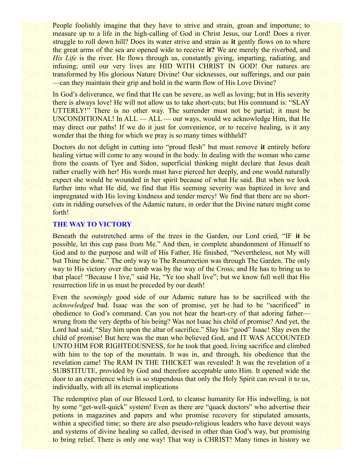People foolishly imagine that they have to strive and strain, groan and importune; to measure up to a life in the high-calling of God in Christ Jesus, our Lord! Does a river struggle to roll down hill? Does its water strive and strain as **it** gently flows on to where the great arms of the sea are opened wide to receive **it?** We are merely the riverbed, and *His Life* is the river. He flows through us, constantly giving, imparting, radiating, and infusing; until our very lives are HID WITH CHRIST IN GOD! Our natures are transformed by His glorious Nature Divine! Our sicknesses, our sufferings, and our pain —can they maintain their grip and hold in the warm flow of His Love Divine?

In God's deliverance, we find that He can be severe, as well as loving; but in His severity there is always love! He will not allow us to take short-cuts; but His command is: "SLAY UTTERLY!" There is no other way. The surrender must not be partial; it must be UNCONDITIONAL! In  $ALL - ALL - our ways$ , would we acknowledge Him, that He may direct our paths! If we do it just for convenience, or to receive healing, is it any wonder that the thing for which we pray is so many times withheld?

Doctors do not delight in cutting into "proud flesh" but must remove **it** entirely before healing virtue will come to any wound in the body. In dealing with the woman who came from the coasts of Tyre and Sidon, superficial thinking might declare that Jesus dealt rather cruelly with her! His words must have pierced her deeply, and one would naturally expect she would be wounded in her spirit because of what He said. But when we look further into what He did, we find that His seeming severity was baptized in love and impregnated with His loving kindness and tender mercy! We find that there are no shortcuts in ridding ourselves of the Adamic nature, in order that the Divine nature might come forth!

### **THE WAY TO VICTORY**

Beneath the outstretched arms of the trees in the Garden, our Lord cried, "IF **it** be possible, let this cup pass from Me." And then, in complete abandonment of Himself to God and to the purpose and will of His Father, He finished, "Nevertheless, not My will but Thine be done." The only way to The Resurrection was through The Garden. The only way to His victory over the tomb was by the way of the Cross; and He has to bring us to that place! "Because I live," said He, "Ye too shall live"; but we know full well that His resurrection life in us must be preceded by our death!

Even the *seemingly* good side of our Adamic nature has to be sacrificed with the *acknowledged* bad. Isaac was the son of promise, yet he had to be "sacrificed" in obedience to God's command. Can you not hear the heart-cry of that adoring father wrung from the very depths of his being? Was not Isaac his child of promise? And yet, the Lord had said, "Slay him upon the altar of sacrifice." Slay his "good" Isaac! Slay even the child of promise! But here was the man who believed God, and IT WAS ACCOUNTED UNTO HIM FOR RIGHTEOUSNESS, for he took that good, living sacrifice and climbed with him to the top of the mountain. It was in, and through, his obedience that the revelation came! The RAM IN THE THICKET was revealed! It was the revelation of a SUBSTITUTE, provided by God and therefore acceptable unto Him. It opened wide the door to an experience which is so stupendous that only the Holy Spirit can reveal it to us, individually, with all its eternal implications

The redemptive plan of our Blessed Lord, to cleanse humanity for His indwelling, is not by some "get-well-quick" system! Even as there are "quack doctors" who advertise their potions in magazines and papers and who promise recovery for stipulated amounts, within a specified time; so there are also pseudo-religious leaders who have devout ways and systems of divine healing so called, devised in other than God's way, but promising to bring relief. There is only one way! That way is CHRIST! Many times in history we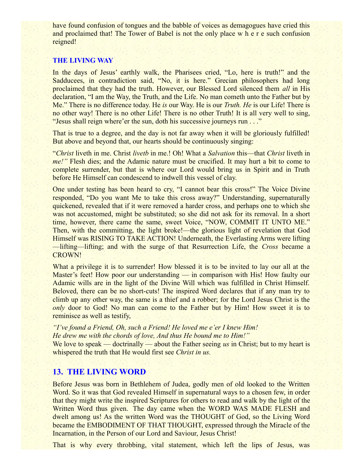have found confusion of tongues and the babble of voices as demagogues have cried this and proclaimed that! The Tower of Babel is not the only place w h e r e such confusion reigned!

### **THE LIVING WAY**

In the days of Jesus' earthly walk, the Pharisees cried, "Lo, here is truth!" and the Sadducees, in contradiction said, "No, it is here." Grecian philosophers had long proclaimed that they had the truth. However, our Blessed Lord silenced them *all* in His declaration, "I am the Way, the Truth, and the Life. No man cometh unto the Father but by Me." There is no difference today. He *is* our Way. He is our *Truth. He* is our Life! There is no other way! There is no other Life! There is no other Truth! It is all very well to sing, "Jesus shall reign where'er the sun, doth his successive journeys run . . ."

That is true to a degree, and the day is not far away when it will be gloriously fulfilled! But above and beyond that, our hearts should be continuously singing:

"*Christ* liveth in me. Christ *livetb* in me.! Oh! What a *Salvation* this—that *Christ* liveth in *me!"* Flesh dies; and the Adamic nature must be crucified. It may hurt a bit to come to complete surrender, but that is where our Lord would bring us in Spirit and in Truth before He Himself can condescend to indwell this vessel of clay.

One under testing has been heard to cry, "I cannot bear this cross!" The Voice Divine responded, "Do you want Me to take this cross away?" Understanding, supernaturally quickened, revealed that if it were removed a harder cross, and perhaps one to which she was not accustomed, might be substituted; so she did not ask for its removal. In a short time, however, there came the same, sweet Voice, "NOW, COMMIT IT UNTO ME." Then, with the committing, the light broke!—the glorious light of revelation that God Himself was RISING TO TAKE ACTION! Underneath, the Everlasting Arms were lifting —lifting—lifting; and with the surge of that Resurrection Life, the *Cross* became a CROWN!

What a privilege it is to surrender! How blessed it is to be invited to lay our all at the Master's feet! How poor our understanding — in comparison with His! How faulty our Adamic wills are in the light of the Divine Will which was fulfilled in Christ Himself. Beloved, there can be no short-cuts! The inspired Word declares that if any man try to climb up any other way, the same is a thief and a robber; for the Lord Jesus Christ is the *only* door to God! No man can come to the Father but by Him! How sweet it is to reminisce as well as testify,

*"I've found a Friend, Oh, such a Friend! He loved me e'er I knew Him! He drew me with the chords of love, And thus He bound me to Him!"* We love to speak — doctrinally — about the Father seeing *us* in Christ; but to my heart is whispered the truth that He would first see *Christ in us.*

## **13. THE LIVING WORD**

Before Jesus was born in Bethlehem of Judea, godly men of old looked to the Written Word. So it was that God revealed Himself in supernatural ways to a chosen few, in order that they might write the inspired Scriptures for others to read and walk by the light of the Written Word thus given. The day came when the WORD WAS MADE FLESH and dwelt among us! As the written Word was the THOUGHT of God, so the Living Word became the EMBODIMENT OF THAT THOUGHT, expressed through the Miracle of the Incarnation, in the Person of our Lord and Saviour, Jesus Christ!

That is why every throbbing, vital statement, which left the lips of Jesus, was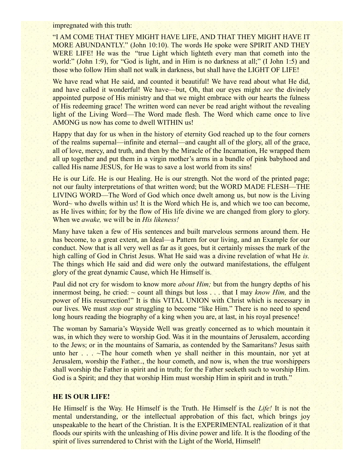impregnated with this truth:

"I AM COME THAT THEY MIGHT HAVE LIFE, AND THAT THEY MIGHT HAVE IT MORE ABUNDANTLY." (John 10:10). The words He spoke were SPIRIT AND THEY WERE LIFE! He was the "true Light which lighteth every man that cometh into the world:" (John 1:9), for "God is light, and in Him is no darkness at all;" (I John 1:5) and those who follow Him shall not walk in darkness, but shall have the LIGHT OF LIFE!

We have read what He said, and counted it beautiful! We have read about what He did, and have called it wonderful! We have—but, Oh, that our eyes might *see* the divinely appointed purpose of His ministry and that we might embrace with our hearts the fulness of His redeeming grace! The written word can never be read aright without the revealing light of the Living Word—The Word made flesh. The Word which came once to live AMONG us now has come to dwell WITHIN us!

Happy that day for us when in the history of eternity God reached up to the four corners of the realms supernal—infinite and eternal—and caught all of the glory, all of the grace, all of love, mercy, and truth, and then by the Miracle of the Incarnation, He wrapped them all up together and put them in a virgin mother's arms in a bundle of pink babyhood and called His name JESUS, for He was to save a lost world from its sins!

He is our Life. He is our Healing. He is our strength. Not the word of the printed page; not our faulty interpretations of that written word; but the WORD MADE FLESH—THE LIVING WORD—The Word of God which once dwelt among us, but now is the Living Word~ who dwells within us! It is the Word which He is, and which we too can become, as He lives within; for by the flow of His life divine we are changed from glory to glory. When we *awake,* we will be in *His likeness!*

Many have taken a few of His sentences and built marvelous sermons around them. He has become, to a great extent, an Ideal—a Pattern for our living, and an Example for our conduct. Now that is all very well as far as it goes, but it certainly misses the mark of the high calling of God in Christ Jesus. What He said was a divine revelation of what He *is.* The things which He said and did were only the outward manifestations, the effulgent glory of the great dynamic Cause, which He Himself is.

Paul did not cry for wisdom to know more *about Him;* but from the hungry depths of his innermost being, he cried:  $\sim$  count all things but loss . . . that I may *know Him*, and the power of His resurrection!" It is this VITAL UNION with Christ which is necessary in our lives. We must *stop* our struggling to become "like Him." There is no need to spend long hours reading the biography of a king when you are, at last, in his royal presence!

The woman by Samaria's Wayside Well was greatly concerned as to which mountain it was, in which they were to worship God. Was it in the mountains of Jerusalem, according to the Jews; or in the mountains of Samaria, as contended by the Samaritans? Jesus saith unto her  $\ldots$   $\sim$ The hour cometh when ye shall neither in this mountain, nor yet at Jerusalem, worship the Father.., the hour cometh, and now is, when the true worshippers shall worship the Father in spirit and in truth; for the Father seeketh such to worship Him. God is a Spirit; and they that worship Him must worship Him in spirit and in truth."

## **HE IS OUR LIFE!**

He Himself is the Way. He Himself is the Truth. He Himself is the *Life!* It is not the mental understanding, or the intellectual approbation of this fact, which brings joy unspeakable to the heart of the Christian. It is the EXPERIMENTAL realization of it that floods our spirits with the unleashing of His divine power and life. It is the flooding of the spirit of lives surrendered to Christ with the Light of the World, Himself!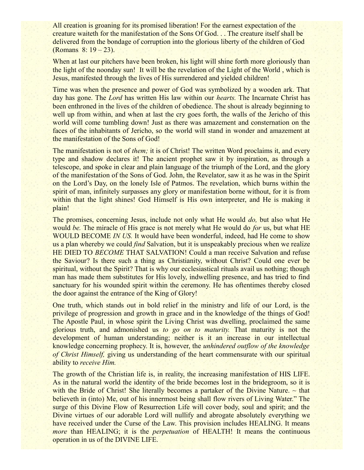All creation is groaning for its promised liberation! For the earnest expectation of the creature waiteth for the manifestation of the Sons Of God. . . The creature itself shall be delivered from the bondage of corruption into the glorious liberty of the children of God (Romans 8: 19 – 23).

When at last our pitchers have been broken, his light will shine forth more gloriously than the light of the noonday sun! It will be the revelation of the Light of the World , which is Jesus, manifested through the lives of His surrendered and yielded children!

Time was when the presence and power of God was symbolized by a wooden ark. That day has gone. The *Lord* has written His law within our *hearts.* The Incarnate Christ has been enthroned in the lives of the children of obedience. The shout is already beginning to well up from within, and when at last the cry goes forth, the walls of the Jericho of this world will come tumbling down! Just as there was amazement and consternation on the faces of the inhabitants of Jericho, so the world will stand in wonder and amazement at the manifestation of the Sons of God!

The manifestation is not of *them;* it is of Christ! The written Word proclaims it, and every type and shadow declares it! The ancient prophet saw it by inspiration, as through a telescope, and spoke in clear and plain language of the triumph of the Lord, and the glory of the manifestation of the Sons of God. John, the Revelator, saw it as he was in the Spirit on the Lord's Day, on the lonely Isle of Patmos. The revelation, which burns within the spirit of man, infinitely surpasses any glory or manifestation borne without, for it is from within that the light shines! God Himself is His own interpreter, and He is making it plain!

The promises, concerning Jesus, include not only what He would *do,* but also what He would *be.* The miracle of His grace is not merely what He would do *for* us, but what HE WOULD BECOME *IN US.* It would have been wonderful, indeed, had He come to show us a plan whereby we could *find* Salvation, but it is unspeakably precious when we realize HE DIED TO *BECOME* THAT SALVATION! Could a man receive Salvation and refuse the Saviour? Is there such a thing as Christianity, without Christ? Could one ever be spiritual, without the Spirit? That is why our ecclesiastical rituals avail us nothing; though man has made them substitutes for His lovely, indwelling presence, and has tried to find sanctuary for his wounded spirit within the ceremony. He has oftentimes thereby closed the door against the entrance of the King of Glory!

One truth, which stands out in bold relief in the ministry and life of our Lord, is the privilege of progression and growth in grace and in the knowledge of the things of God! The Apostle Paul, in whose spirit the Living Christ was dwelling, proclaimed the same glorious truth, and admonished us *to go on to maturity.* That maturity is not the development of human understanding; neither is it an increase in our intellectual knowledge concerning prophecy. It is, however, the *unhindered outflow of the knowledge of Christ Himself,* giving us understanding of the heart commensurate with our spiritual ability to *receive Him.*

The growth of the Christian life is, in reality, the increasing manifestation of HIS LIFE. As in the natural world the identity of the bride becomes lost in the bridegroom, so it is with the Bride of Christ! She literally becomes a partaker of the Divine Nature.  $\sim$  that believeth in (into) Me, out of his innermost being shall flow rivers of Living Water." The surge of this Divine Flow of Resurrection Life will cover body, soul and spirit; and the Divine virtues of our adorable Lord will nullify and abrogate absolutely everything we have received under the Curse of the Law. This provision includes HEALING. It means *more* than HEALING; it is the *perpetuation* of HEALTH! It means the continuous operation in us of the DIVINE LIFE.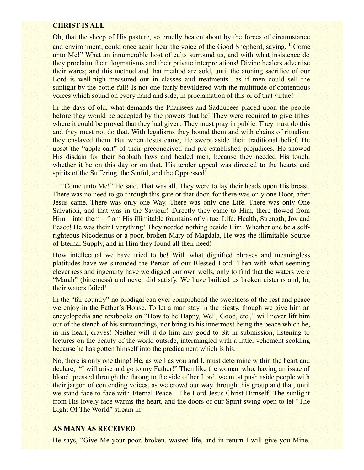#### **CHRIST IS ALL**

Oh, that the sheep of His pasture, so cruelly beaten about by the forces of circumstance and environment, could once again hear the voice of the Good Shepherd, saying,  ${}^{t_1}$ Come unto Me!" What an innumerable host of cults surround us, and with what insistence do they proclaim their dogmatisms and their private interpretations! Divine healers advertise their wares; and this method and that method are sold, until the atoning sacrifice of our Lord is well-nigh measured out in classes and treatments—as if men could sell the sunlight by the bottle-full! Is not one fairly bewildered with the multitude of contentious voices which sound on every hand and side, in proclamation of this or of that virtue!

In the days of old, what demands the Pharisees and Sadducees placed upon the people before they would be accepted by the powers that be! They were required to give tithes where it could be proved that they had given. They must pray in public. They must do this and they must not do that. With legalisrns they bound them and with chains of ritualism they enslaved them. But when Jesus came, He swept aside their traditional belief. He upset the "apple-cart" of their preconceived and pre-established prejudices. He showed His disdain for their Sabbath laws and healed men, because they needed His touch, whether it be on this day or on that. His tender appeal was directed to the hearts and spirits of the Suffering, the Sinful, and the Oppressed!

 "Come unto Me!" He said. That was all. They were to lay their heads upon His breast. There was no need to go through this gate or that door, for there was only one Door, after Jesus came. There was only one Way. There was only one Life. There was only One Salvation, and that was in the Saviour! Directly they came to Him, there flowed from Him—into them—from His illimitable fountains of virtue. Life, Health, Strength, Joy and Peace! He was their Everything! They needed nothing beside Him. Whether one be a selfrighteous Nicodemus or a poor, broken Mary of Magdala, He was the illimitable Source of Eternal Supply, and in Him they found all their need!

How intellectual we have tried to be! With what dignified phrases and meaningless platitudes have we shrouded the Person of our Blessed Lord! Then with what seeming cleverness and ingenuity have we digged our own wells, only to find that the waters were "Marah" (bitterness) and never did satisfy. We have builded us broken cisterns and, lo, their waters failed!

In the "far country" no prodigal can ever comprehend the sweetness of the rest and peace we enjoy in the Father's House. To let a man stay in the pigsty, though we give him an encyclopedia and textbooks on "How to be Happy, Well, Good, etc.," will never lift him out of the stench of his surroundings, nor bring to his innermost being the peace which he, in his heart, craves! Neither will it do him any good to Sit in submission, listening to lectures on the beauty of the world outside, intermingled with a little, vehement scolding because he has gotten himself into the predicament which is his.

No, there is only one thing! He, as well as you and I, must determine within the heart and declare, "I will arise and go to my Father!" Then like the woman who, having an issue of blood, pressed through the throng to the side of her Lord, we must push aside people with their jargon of contending voices, as we crowd our way through this group and that, until we stand face to face with Eternal Peace—The Lord Jesus Christ Himself! The sunlight from His lovely face warms the heart, and the doors of our Spirit swing open to let "The Light Of The World" stream in!

#### **AS MANY AS RECEIVED**

He says, "Give Me your poor, broken, wasted life, and in return I will give you Mine.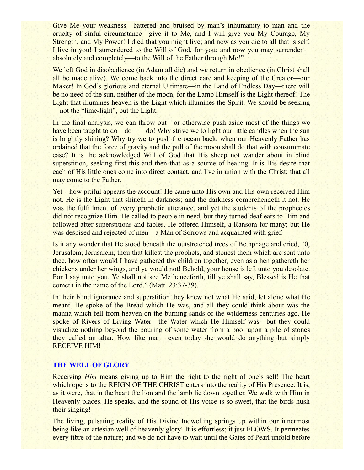Give Me your weakness—battered and bruised by man's inhumanity to man and the cruelty of sinful circumstance—give it to Me, and I will give you My Courage, My Strength, and My Power! I died that you might live; and now as you die to all that is self, I live in you! I surrendered to the Will of God, for you; and now you may surrender absolutely and completely—to the Will of the Father through Me!"

We left God in disobedience (in Adam all die) and we return in obedience (in Christ shall all be made alive). We come back into the direct care and keeping of the Creator—our Maker! In God's glorious and eternal Ultimate—in the Land of Endless Day—there will be no need of the sun, neither of the moon, for the Lamb Himself is the Light thereof! The Light that illumines heaven is the Light which illumines the Spirit. We should be seeking —not the "lime-light", but the Light.

In the final analysis, we can throw out—or otherwise push aside most of the things we have been taught to do—do——do! Why strive we to light our little candles when the sun is brightly shining? Why try we to push the ocean back, when our Heavenly Father has ordained that the force of gravity and the pull of the moon shall do that with consummate ease? It is the acknowledged Will of God that His sheep not wander about in blind superstition, seeking first this and then that as a source of healing. It is His desire that each of His little ones come into direct contact, and live in union with the Christ; that all may come to the Father.

Yet—how pitiful appears the account! He came unto His own and His own received Him not. He is the Light that shineth in darkness; and the darkness comprehendeth it not. He was the fulfillment of every prophetic utterance, and yet the students of the prophecies did not recognize Him. He called to people in need, but they turned deaf ears to Him and followed after superstitions and fables. He offered Himself, a Ransom for many; but He was despised and rejected of men—a Man of Sorrows and acquainted with grief.

Is it any wonder that He stood beneath the outstretched trees of Bethphage and cried, "0, Jerusalem, Jerusalem, thou that killest the prophets, and stonest them which are sent unto thee, how often would I have gathered thy children together, even as a hen gathereth her chickens under her wings, and ye would not! Behold, your house is left unto you desolate. For I say unto you, Ye shall not see Me henceforth, till ye shall say, Blessed is He that cometh in the name of the Lord." (Matt. 23:37-39).

In their blind ignorance and superstition they knew not what He said, let alone what He meant. He spoke of the Bread which He was, and all they could think about was the manna which fell from heaven on the burning sands of the wilderness centuries ago. He spoke of Rivers of Living Water—the Water which He Himself was—but they could visualize nothing beyond the pouring of some water from a pool upon a pile of stones they called an altar. How like man—even today -he would do anything but simply RECEIVE HIM!

### **THE WELL OF GLORY**

Receiving *Him* means giving up to Him the right to the right of one's self! The heart which opens to the REIGN OF THE CHRIST enters into the reality of His Presence. It is, as it were, that in the heart the lion and the lamb lie down together. We walk with Him in Heavenly places. He speaks, and the sound of His voice is so sweet, that the birds hush their singing!

The living, pulsating reality of His Divine Indwelling springs up within our innermost being like an artesian well of heavenly glory! It is effortless; it just FLOWS. It permeates every fibre of the nature; and we do not have to wait until the Gates of Pearl unfold before